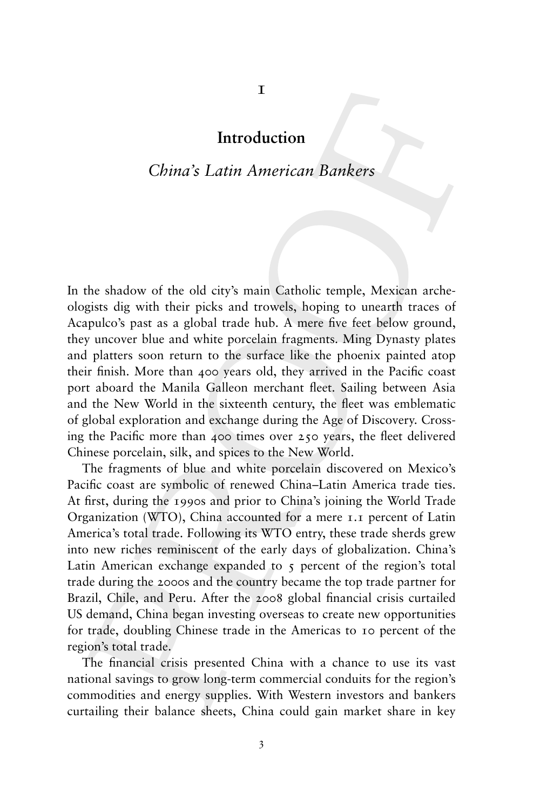## **Introduction**

# *China's Latin American Bankers*

In the shadow of the old city's main Catholic temple, Mexican archeologists dig with their picks and trowels, hoping to unearth traces of Acapulco's past as a global trade hub. A mere five feet below ground, they uncover blue and white porcelain fragments. Ming Dynasty plates and platters soon return to the surface like the phoenix painted atop their finish. More than 400 years old, they arrived in the Pacific coast port aboard the Manila Galleon merchant fleet. Sailing between Asia and the New World in the sixteenth century, the fleet was emblematic of global exploration and exchange during the Age of Discovery. Crossing the Pacific more than 400 times over 250 years, the fleet delivered Chinese porcelain, silk, and spices to the New World.

The fragments of blue and white porcelain discovered on Mexico's Pacific coast are symbolic of renewed China–Latin America trade ties. At first, during the 1990s and prior to China's joining the World Trade Organization (WTO), China accounted for a mere 1.1 percent of Latin America's total trade. Following its WTO entry, these trade sherds grew into new riches reminiscent of the early days of globalization. China's Latin American exchange expanded to  $\zeta$  percent of the region's total trade during the 2000s and the country became the top trade partner for Brazil, Chile, and Peru. After the 2008 global financial crisis curtailed US demand, China began investing overseas to create new opportunities for trade, doubling Chinese trade in the Americas to 10 percent of the region's total trade.

The financial crisis presented China with a chance to use its vast national savings to grow long-term commercial conduits for the region's commodities and energy supplies. With Western investors and bankers curtailing their balance sheets, China could gain market share in key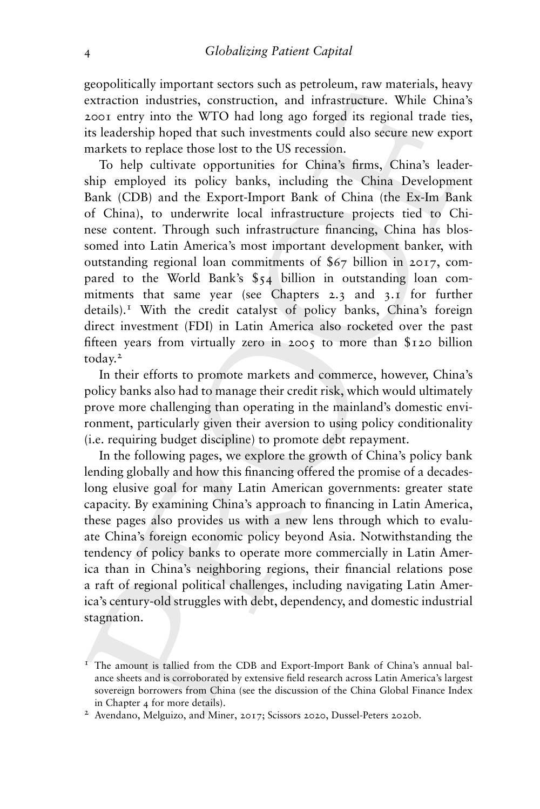geopolitically important sectors such as petroleum, raw materials, heavy extraction industries, construction, and infrastructure. While China's 2001 entry into the WTO had long ago forged its regional trade ties, its leadership hoped that such investments could also secure new export markets to replace those lost to the US recession.

To help cultivate opportunities for China's firms, China's leadership employed its policy banks, including the China Development Bank (CDB) and the Export-Import Bank of China (the Ex-Im Bank of China), to underwrite local infrastructure projects tied to Chinese content. Through such infrastructure financing, China has blossomed into Latin America's most important development banker, with outstanding regional loan commitments of \$67 billion in 2017, compared to the World Bank's \$54 billion in outstanding loan commitments that same year (see Chapters 2.3 and 3.1 for further  $\delta$  details).<sup>1</sup> With the credit catalyst of policy banks, China's foreign direct investment (FDI) in Latin America also rocketed over the past fifteen years from virtually zero in 2005 to more than \$120 billion today.<sup>2</sup>

In their efforts to promote markets and commerce, however, China's policy banks also had to manage their credit risk, which would ultimately prove more challenging than operating in the mainland's domestic environment, particularly given their aversion to using policy conditionality (i.e. requiring budget discipline) to promote debt repayment.

In the following pages, we explore the growth of China's policy bank lending globally and how this financing offered the promise of a decadeslong elusive goal for many Latin American governments: greater state capacity. By examining China's approach to financing in Latin America, these pages also provides us with a new lens through which to evaluate China's foreign economic policy beyond Asia. Notwithstanding the tendency of policy banks to operate more commercially in Latin America than in China's neighboring regions, their financial relations pose a raft of regional political challenges, including navigating Latin America's century-old struggles with debt, dependency, and domestic industrial stagnation.

 $1$  The amount is tallied from the CDB and Export-Import Bank of China's annual balance sheets and is corroborated by extensive field research across Latin America's largest sovereign borrowers from China (see the discussion of the China Global Finance Index in Chapter 4 for more details).

<sup>2</sup> Avendano, Melguizo, and Miner, 2017; Scissors 2020, Dussel-Peters 2020b.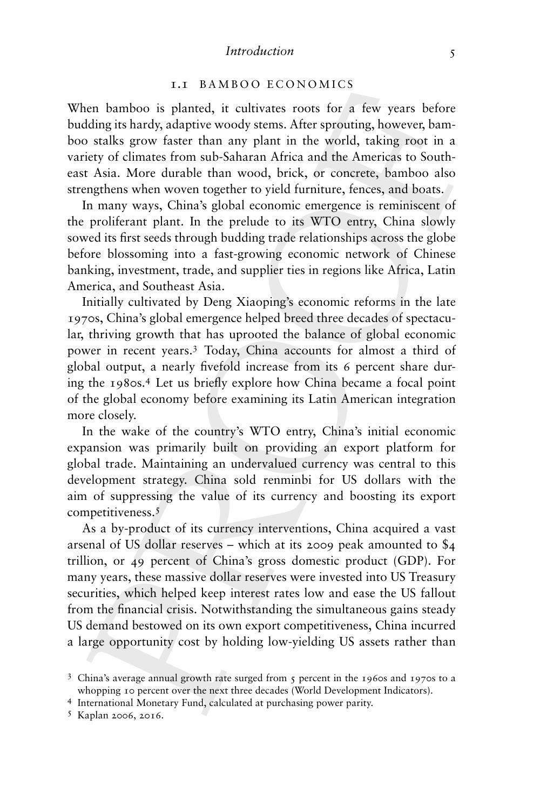#### *Introduction* 5

## 1.1 BAMBOO ECONOMICS

When bamboo is planted, it cultivates roots for a few years before budding its hardy, adaptive woody stems. After sprouting, however, bamboo stalks grow faster than any plant in the world, taking root in a variety of climates from sub-Saharan Africa and the Americas to Southeast Asia. More durable than wood, brick, or concrete, bamboo also strengthens when woven together to yield furniture, fences, and boats.

In many ways, China's global economic emergence is reminiscent of the proliferant plant. In the prelude to its WTO entry, China slowly sowed its first seeds through budding trade relationships across the globe before blossoming into a fast-growing economic network of Chinese banking, investment, trade, and supplier ties in regions like Africa, Latin America, and Southeast Asia.

Initially cultivated by Deng Xiaoping's economic reforms in the late 1970s, China's global emergence helped breed three decades of spectacular, thriving growth that has uprooted the balance of global economic power in recent years.<sup>3</sup> Today, China accounts for almost a third of global output, a nearly fivefold increase from its 6 percent share during the 1980s.4 Let us briefly explore how China became a focal point of the global economy before examining its Latin American integration more closely.

In the wake of the country's WTO entry, China's initial economic expansion was primarily built on providing an export platform for global trade. Maintaining an undervalued currency was central to this development strategy. China sold renminbi for US dollars with the aim of suppressing the value of its currency and boosting its export competitiveness.<sup>5</sup>

As a by-product of its currency interventions, China acquired a vast arsenal of US dollar reserves – which at its 2009 peak amounted to \$4 trillion, or 49 percent of China's gross domestic product (GDP). For many years, these massive dollar reserves were invested into US Treasury securities, which helped keep interest rates low and ease the US fallout from the financial crisis. Notwithstanding the simultaneous gains steady US demand bestowed on its own export competitiveness, China incurred a large opportunity cost by holding low-yielding US assets rather than

<sup>3</sup> China's average annual growth rate surged from 5 percent in the 1960s and 1970s to a whopping 10 percent over the next three decades (World Development Indicators).

<sup>4</sup> International Monetary Fund, calculated at purchasing power parity.

<sup>5</sup> Kaplan 2006, 2016.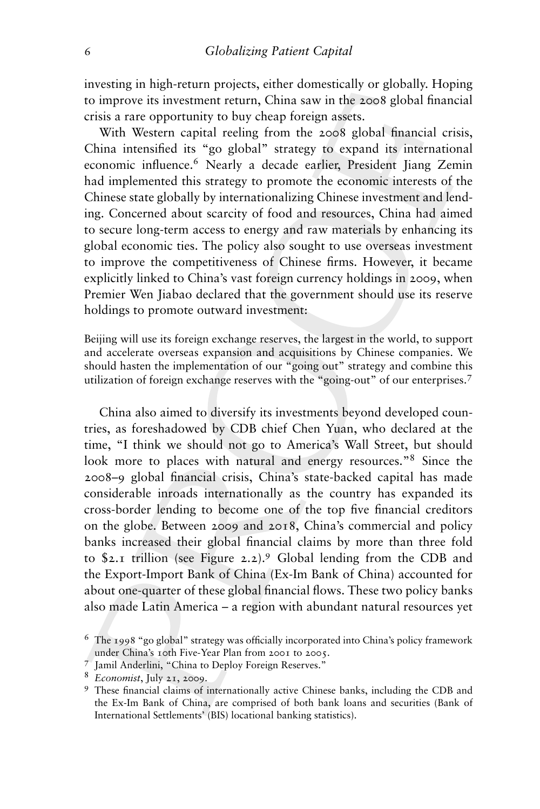investing in high-return projects, either domestically or globally. Hoping to improve its investment return, China saw in the 2008 global financial crisis a rare opportunity to buy cheap foreign assets.

With Western capital reeling from the 2008 global financial crisis, China intensified its "go global" strategy to expand its international economic influence.<sup>6</sup> Nearly a decade earlier, President Jiang Zemin had implemented this strategy to promote the economic interests of the Chinese state globally by internationalizing Chinese investment and lending. Concerned about scarcity of food and resources, China had aimed to secure long-term access to energy and raw materials by enhancing its global economic ties. The policy also sought to use overseas investment to improve the competitiveness of Chinese firms. However, it became explicitly linked to China's vast foreign currency holdings in 2009, when Premier Wen Jiabao declared that the government should use its reserve holdings to promote outward investment:

Beijing will use its foreign exchange reserves, the largest in the world, to support and accelerate overseas expansion and acquisitions by Chinese companies. We should hasten the implementation of our "going out" strategy and combine this utilization of foreign exchange reserves with the "going-out" of our enterprises.<sup>7</sup>

China also aimed to diversify its investments beyond developed countries, as foreshadowed by CDB chief Chen Yuan, who declared at the time, "I think we should not go to America's Wall Street, but should look more to places with natural and energy resources."8 Since the 2008–9 global financial crisis, China's state-backed capital has made considerable inroads internationally as the country has expanded its cross-border lending to become one of the top five financial creditors on the globe. Between 2009 and 2018, China's commercial and policy banks increased their global financial claims by more than three fold to \$2.1 trillion (see Figure 2.2).<sup>9</sup> Global lending from the CDB and the Export-Import Bank of China (Ex-Im Bank of China) accounted for about one-quarter of these global financial flows. These two policy banks also made Latin America – a region with abundant natural resources yet

<sup>6</sup> The 1998 "go global" strategy was officially incorporated into China's policy framework

under China's 10th Five-Year Plan from 2001 to 2005. <sup>7</sup> Jamil Anderlini, "China to Deploy Foreign Reserves."

<sup>8</sup> *Economist*, July 21, 2009.

<sup>9</sup> These financial claims of internationally active Chinese banks, including the CDB and the Ex-Im Bank of China, are comprised of both bank loans and securities (Bank of International Settlements' (BIS) locational banking statistics).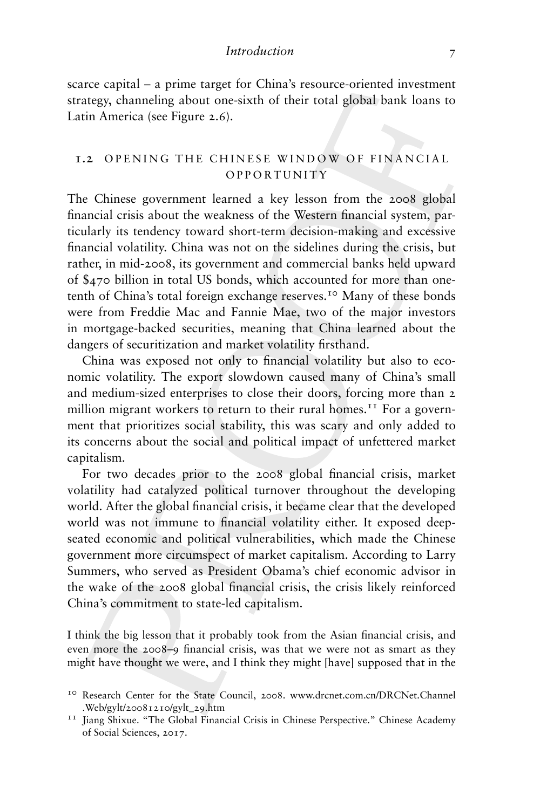scarce capital – a prime target for China's resource-oriented investment strategy, channeling about one-sixth of their total global bank loans to Latin America (see Figure 2.6).

## 1.2 OPENING THE CHINESE WINDOW OF FINANCIAL OPPORTUNITY

The Chinese government learned a key lesson from the 2008 global financial crisis about the weakness of the Western financial system, particularly its tendency toward short-term decision-making and excessive financial volatility. China was not on the sidelines during the crisis, but rather, in mid-2008, its government and commercial banks held upward of \$470 billion in total US bonds, which accounted for more than onetenth of China's total foreign exchange reserves.<sup>10</sup> Many of these bonds were from Freddie Mac and Fannie Mae, two of the major investors in mortgage-backed securities, meaning that China learned about the dangers of securitization and market volatility firsthand.

China was exposed not only to financial volatility but also to economic volatility. The export slowdown caused many of China's small and medium-sized enterprises to close their doors, forcing more than 2 million migrant workers to return to their rural homes.<sup>11</sup> For a government that prioritizes social stability, this was scary and only added to its concerns about the social and political impact of unfettered market capitalism.

For two decades prior to the 2008 global financial crisis, market volatility had catalyzed political turnover throughout the developing world. After the global financial crisis, it became clear that the developed world was not immune to financial volatility either. It exposed deepseated economic and political vulnerabilities, which made the Chinese government more circumspect of market capitalism. According to Larry Summers, who served as President Obama's chief economic advisor in the wake of the 2008 global financial crisis, the crisis likely reinforced China's commitment to state-led capitalism.

I think the big lesson that it probably took from the Asian financial crisis, and even more the 2008–9 financial crisis, was that we were not as smart as they might have thought we were, and I think they might [have] supposed that in the

<sup>10</sup> Research Center for the State Council, 2008. www.drcnet.com.cn/DRCNet.Channel .Web/gylt/20081210/gylt\_29.htm

<sup>&</sup>lt;sup>11</sup> Jiang Shixue. "The Global Financial Crisis in Chinese Perspective." Chinese Academy of Social Sciences, 2017.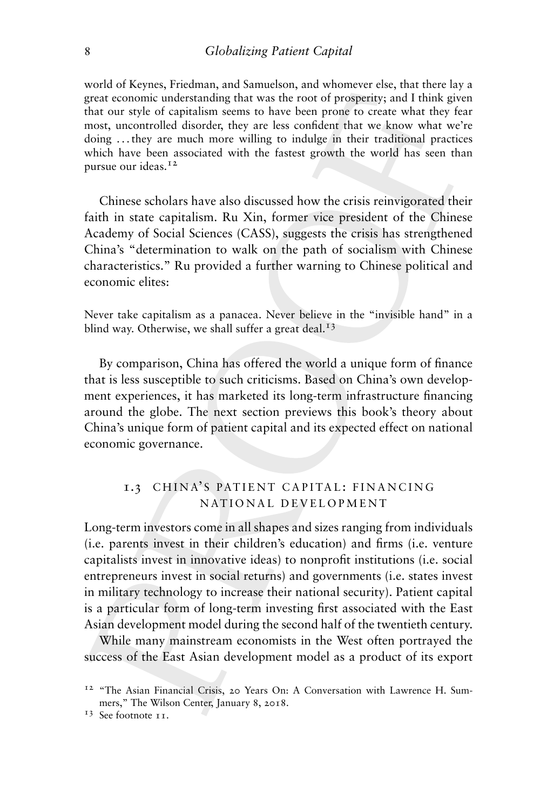world of Keynes, Friedman, and Samuelson, and whomever else, that there lay a great economic understanding that was the root of prosperity; and I think given that our style of capitalism seems to have been prone to create what they fear most, uncontrolled disorder, they are less confident that we know what we're doing . . . they are much more willing to indulge in their traditional practices which have been associated with the fastest growth the world has seen than pursue our ideas.<sup>12</sup>

Chinese scholars have also discussed how the crisis reinvigorated their faith in state capitalism. Ru Xin, former vice president of the Chinese Academy of Social Sciences (CASS), suggests the crisis has strengthened China's "determination to walk on the path of socialism with Chinese characteristics." Ru provided a further warning to Chinese political and economic elites:

Never take capitalism as a panacea. Never believe in the "invisible hand" in a blind way. Otherwise, we shall suffer a great deal.<sup>13</sup>

By comparison, China has offered the world a unique form of finance that is less susceptible to such criticisms. Based on China's own development experiences, it has marketed its long-term infrastructure financing around the globe. The next section previews this book's theory about China's unique form of patient capital and its expected effect on national economic governance.

## 1.3 CHINA'S PATIENT CAPITAL: FINANCING NATIONAL DEVELOPMENT

Long-term investors come in all shapes and sizes ranging from individuals (i.e. parents invest in their children's education) and firms (i.e. venture capitalists invest in innovative ideas) to nonprofit institutions (i.e. social entrepreneurs invest in social returns) and governments (i.e. states invest in military technology to increase their national security). Patient capital is a particular form of long-term investing first associated with the East Asian development model during the second half of the twentieth century.

While many mainstream economists in the West often portrayed the success of the East Asian development model as a product of its export

<sup>&</sup>lt;sup>12</sup> "The Asian Financial Crisis, 20 Years On: A Conversation with Lawrence H. Summers," The Wilson Center, January 8, 2018.

<sup>&</sup>lt;sup>13</sup> See footnote 11.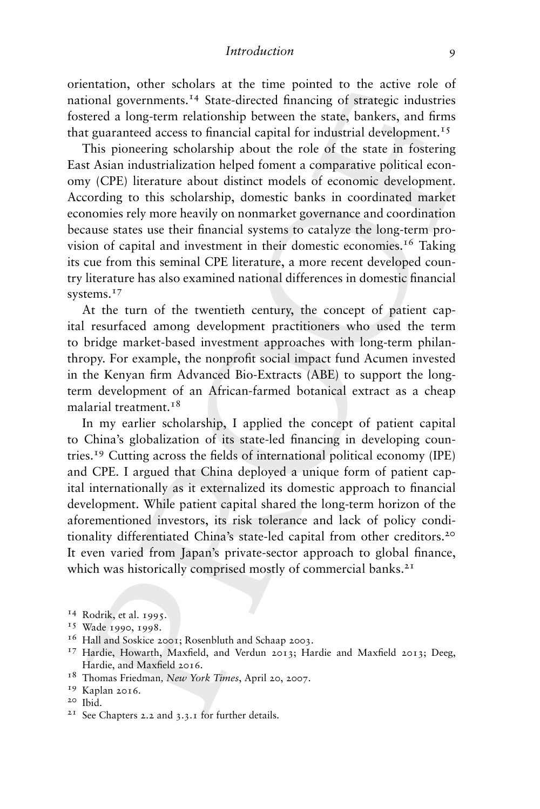#### *Introduction* 9

orientation, other scholars at the time pointed to the active role of national governments.<sup>14</sup> State-directed financing of strategic industries fostered a long-term relationship between the state, bankers, and firms that guaranteed access to financial capital for industrial development.<sup>15</sup>

This pioneering scholarship about the role of the state in fostering East Asian industrialization helped foment a comparative political economy (CPE) literature about distinct models of economic development. According to this scholarship, domestic banks in coordinated market economies rely more heavily on nonmarket governance and coordination because states use their financial systems to catalyze the long-term provision of capital and investment in their domestic economies.16 Taking its cue from this seminal CPE literature, a more recent developed country literature has also examined national differences in domestic financial systems.<sup>17</sup>

At the turn of the twentieth century, the concept of patient capital resurfaced among development practitioners who used the term to bridge market-based investment approaches with long-term philanthropy. For example, the nonprofit social impact fund Acumen invested in the Kenyan firm Advanced Bio-Extracts (ABE) to support the longterm development of an African-farmed botanical extract as a cheap malarial treatment.<sup>18</sup>

In my earlier scholarship, I applied the concept of patient capital to China's globalization of its state-led financing in developing countries.<sup>19</sup> Cutting across the fields of international political economy (IPE) and CPE. I argued that China deployed a unique form of patient capital internationally as it externalized its domestic approach to financial development. While patient capital shared the long-term horizon of the aforementioned investors, its risk tolerance and lack of policy conditionality differentiated China's state-led capital from other creditors.20 It even varied from Japan's private-sector approach to global finance, which was historically comprised mostly of commercial banks.<sup>21</sup>

- <sup>14</sup> Rodrik, et al. 1995.
- <sup>15</sup> Wade 1990, 1998.
- <sup>16</sup> Hall and Soskice 2001; Rosenbluth and Schaap 2003.
- <sup>17</sup> Hardie, Howarth, Maxfield, and Verdun 2013; Hardie and Maxfield 2013; Deeg, Hardie, and Maxfield 2016.
- <sup>18</sup> Thomas Friedman*, New York Times*, April 20, 2007.
- <sup>19</sup> Kaplan 2016.
- <sup>20</sup> Ibid.

<sup>&</sup>lt;sup>21</sup> See Chapters 2.2 and  $3.3.1$  for further details.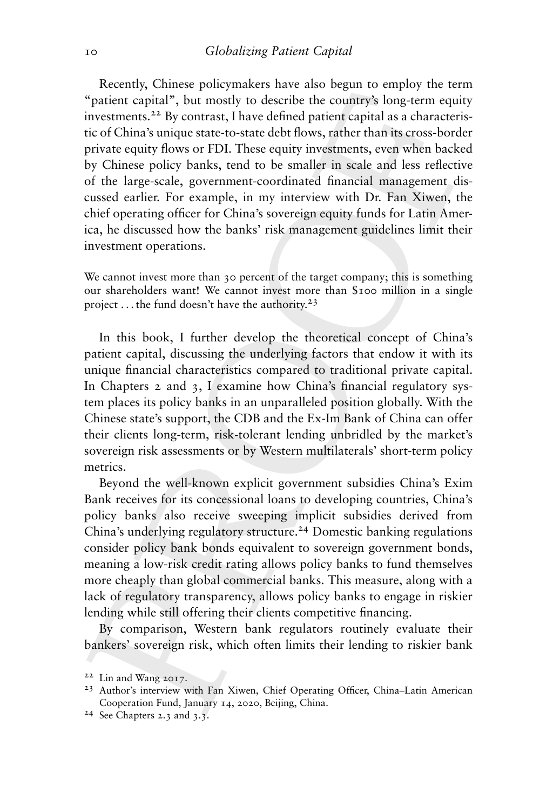Recently, Chinese policymakers have also begun to employ the term "patient capital", but mostly to describe the country's long-term equity investments.22 By contrast, I have defined patient capital as a characteristic of China's unique state-to-state debt flows, rather than its cross-border private equity flows or FDI. These equity investments, even when backed by Chinese policy banks, tend to be smaller in scale and less reflective of the large-scale, government-coordinated financial management discussed earlier. For example, in my interview with Dr. Fan Xiwen, the chief operating officer for China's sovereign equity funds for Latin America, he discussed how the banks' risk management guidelines limit their investment operations.

We cannot invest more than 30 percent of the target company; this is something our shareholders want! We cannot invest more than \$100 million in a single project ... the fund doesn't have the authority.<sup>23</sup>

In this book, I further develop the theoretical concept of China's patient capital, discussing the underlying factors that endow it with its unique financial characteristics compared to traditional private capital. In Chapters 2 and 3, I examine how China's financial regulatory system places its policy banks in an unparalleled position globally. With the Chinese state's support, the CDB and the Ex-Im Bank of China can offer their clients long-term, risk-tolerant lending unbridled by the market's sovereign risk assessments or by Western multilaterals' short-term policy metrics.

Beyond the well-known explicit government subsidies China's Exim Bank receives for its concessional loans to developing countries, China's policy banks also receive sweeping implicit subsidies derived from China's underlying regulatory structure.<sup>24</sup> Domestic banking regulations consider policy bank bonds equivalent to sovereign government bonds, meaning a low-risk credit rating allows policy banks to fund themselves more cheaply than global commercial banks. This measure, along with a lack of regulatory transparency, allows policy banks to engage in riskier lending while still offering their clients competitive financing.

By comparison, Western bank regulators routinely evaluate their bankers' sovereign risk, which often limits their lending to riskier bank

<sup>22</sup> Lin and Wang 2017.

<sup>23</sup> Author's interview with Fan Xiwen, Chief Operating Officer, China–Latin American Cooperation Fund, January 14, 2020, Beijing, China.

<sup>24</sup> See Chapters 2.3 and 3.3.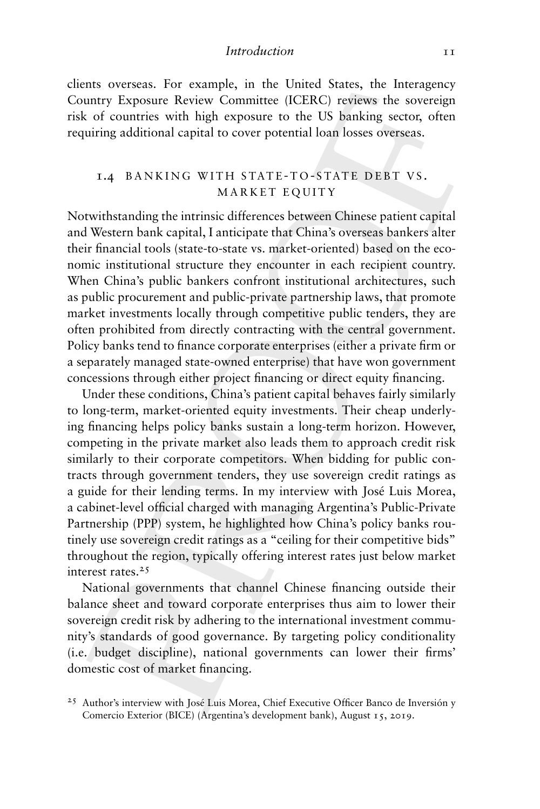clients overseas. For example, in the United States, the Interagency Country Exposure Review Committee (ICERC) reviews the sovereign risk of countries with high exposure to the US banking sector, often requiring additional capital to cover potential loan losses overseas.

## 1.4 BANKING WITH STATE-TO-STATE DEBT VS. MARKET EQUITY

Notwithstanding the intrinsic differences between Chinese patient capital and Western bank capital, I anticipate that China's overseas bankers alter their financial tools (state-to-state vs. market-oriented) based on the economic institutional structure they encounter in each recipient country. When China's public bankers confront institutional architectures, such as public procurement and public-private partnership laws, that promote market investments locally through competitive public tenders, they are often prohibited from directly contracting with the central government. Policy banks tend to finance corporate enterprises (either a private firm or a separately managed state-owned enterprise) that have won government concessions through either project financing or direct equity financing.

Under these conditions, China's patient capital behaves fairly similarly to long-term, market-oriented equity investments. Their cheap underlying financing helps policy banks sustain a long-term horizon. However, competing in the private market also leads them to approach credit risk similarly to their corporate competitors. When bidding for public contracts through government tenders, they use sovereign credit ratings as a guide for their lending terms. In my interview with José Luis Morea, a cabinet-level official charged with managing Argentina's Public-Private Partnership (PPP) system, he highlighted how China's policy banks routinely use sovereign credit ratings as a "ceiling for their competitive bids" throughout the region, typically offering interest rates just below market interest rates.25

National governments that channel Chinese financing outside their balance sheet and toward corporate enterprises thus aim to lower their sovereign credit risk by adhering to the international investment community's standards of good governance. By targeting policy conditionality (i.e. budget discipline), national governments can lower their firms' domestic cost of market financing.

<sup>&</sup>lt;sup>25</sup> Author's interview with José Luis Morea, Chief Executive Officer Banco de Inversión y Comercio Exterior (BICE) (Argentina's development bank), August 15, 2019.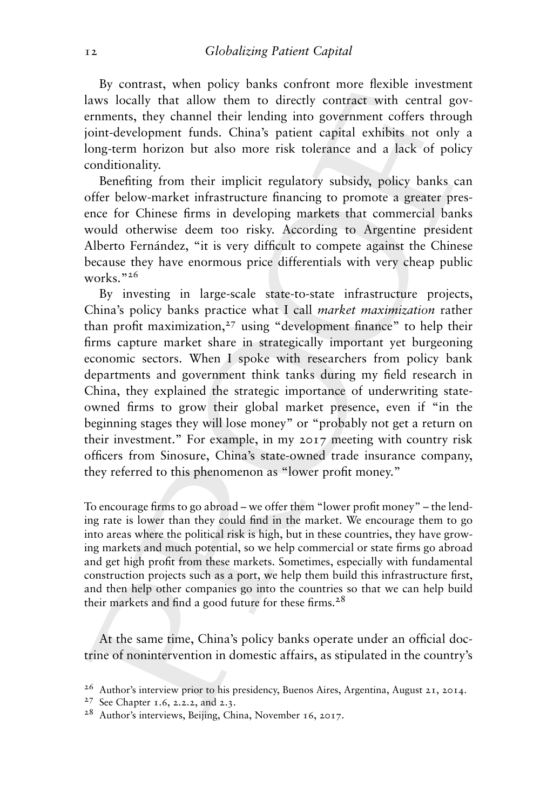By contrast, when policy banks confront more flexible investment laws locally that allow them to directly contract with central governments, they channel their lending into government coffers through joint-development funds. China's patient capital exhibits not only a long-term horizon but also more risk tolerance and a lack of policy conditionality.

Benefiting from their implicit regulatory subsidy, policy banks can offer below-market infrastructure financing to promote a greater presence for Chinese firms in developing markets that commercial banks would otherwise deem too risky. According to Argentine president Alberto Fernández, "it is very difficult to compete against the Chinese because they have enormous price differentials with very cheap public works."26

By investing in large-scale state-to-state infrastructure projects, China's policy banks practice what I call *market maximization* rather than profit maximization, $27$  using "development finance" to help their firms capture market share in strategically important yet burgeoning economic sectors. When I spoke with researchers from policy bank departments and government think tanks during my field research in China, they explained the strategic importance of underwriting stateowned firms to grow their global market presence, even if "in the beginning stages they will lose money" or "probably not get a return on their investment." For example, in my 2017 meeting with country risk officers from Sinosure, China's state-owned trade insurance company, they referred to this phenomenon as "lower profit money."

To encourage firms to go abroad – we offer them "lower profit money" – the lending rate is lower than they could find in the market. We encourage them to go into areas where the political risk is high, but in these countries, they have growing markets and much potential, so we help commercial or state firms go abroad and get high profit from these markets. Sometimes, especially with fundamental construction projects such as a port, we help them build this infrastructure first, and then help other companies go into the countries so that we can help build their markets and find a good future for these firms.<sup>28</sup>

At the same time, China's policy banks operate under an official doctrine of nonintervention in domestic affairs, as stipulated in the country's

<sup>&</sup>lt;sup>26</sup> Author's interview prior to his presidency, Buenos Aires, Argentina, August 21, 2014.

<sup>27</sup> See Chapter 1.6, 2.2.2, and 2.3.

<sup>28</sup> Author's interviews, Beijing, China, November 16, 2017.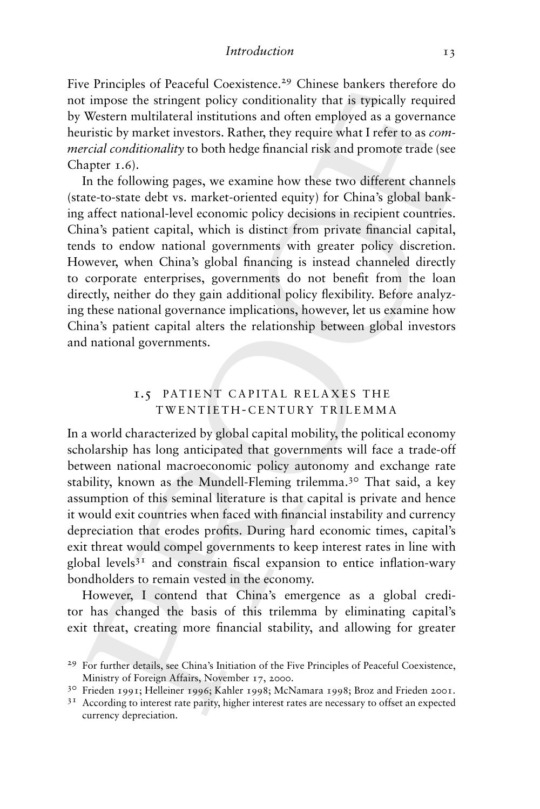Five Principles of Peaceful Coexistence.<sup>29</sup> Chinese bankers therefore do not impose the stringent policy conditionality that is typically required by Western multilateral institutions and often employed as a governance heuristic by market investors. Rather, they require what I refer to as *commercial conditionality* to both hedge financial risk and promote trade (see Chapter 1.6).

In the following pages, we examine how these two different channels (state-to-state debt vs. market-oriented equity) for China's global banking affect national-level economic policy decisions in recipient countries. China's patient capital, which is distinct from private financial capital, tends to endow national governments with greater policy discretion. However, when China's global financing is instead channeled directly to corporate enterprises, governments do not benefit from the loan directly, neither do they gain additional policy flexibility. Before analyzing these national governance implications, however, let us examine how China's patient capital alters the relationship between global investors and national governments.

## 1.5 PATIENT CAPITAL RELAXES THE TWENTIETH - CENTURY TR ILEMMA

In a world characterized by global capital mobility, the political economy scholarship has long anticipated that governments will face a trade-off between national macroeconomic policy autonomy and exchange rate stability, known as the Mundell-Fleming trilemma.<sup>30</sup> That said, a key assumption of this seminal literature is that capital is private and hence it would exit countries when faced with financial instability and currency depreciation that erodes profits. During hard economic times, capital's exit threat would compel governments to keep interest rates in line with global levels $3<sup>T</sup>$  and constrain fiscal expansion to entice inflation-wary bondholders to remain vested in the economy.

However, I contend that China's emergence as a global creditor has changed the basis of this trilemma by eliminating capital's exit threat, creating more financial stability, and allowing for greater

<sup>&</sup>lt;sup>29</sup> For further details, see China's Initiation of the Five Principles of Peaceful Coexistence, Ministry of Foreign Affairs, November 17, 2000.

<sup>30</sup> Frieden 1991; Helleiner 1996; Kahler 1998; McNamara 1998; Broz and Frieden 2001.

<sup>&</sup>lt;sup>31</sup> According to interest rate parity, higher interest rates are necessary to offset an expected currency depreciation.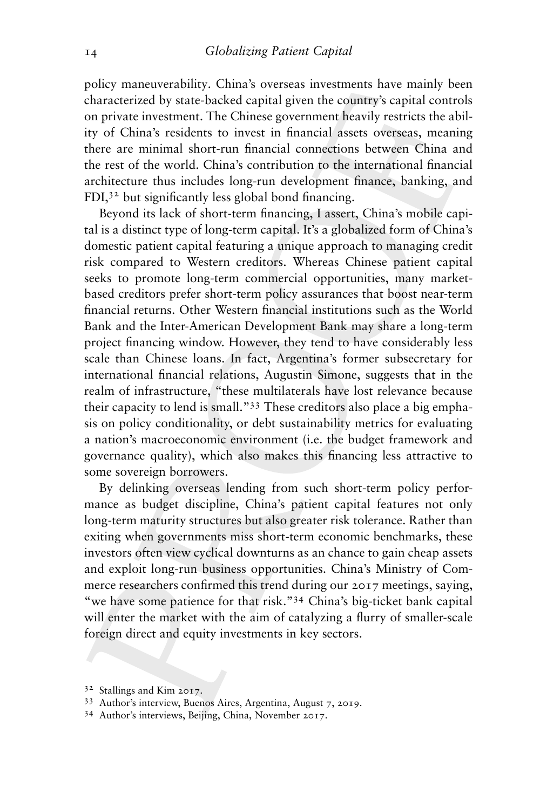policy maneuverability. China's overseas investments have mainly been characterized by state-backed capital given the country's capital controls on private investment. The Chinese government heavily restricts the ability of China's residents to invest in financial assets overseas, meaning there are minimal short-run financial connections between China and the rest of the world. China's contribution to the international financial architecture thus includes long-run development finance, banking, and FDI,32 but significantly less global bond financing.

Beyond its lack of short-term financing, I assert, China's mobile capital is a distinct type of long-term capital. It's a globalized form of China's domestic patient capital featuring a unique approach to managing credit risk compared to Western creditors. Whereas Chinese patient capital seeks to promote long-term commercial opportunities, many marketbased creditors prefer short-term policy assurances that boost near-term financial returns. Other Western financial institutions such as the World Bank and the Inter-American Development Bank may share a long-term project financing window. However, they tend to have considerably less scale than Chinese loans. In fact, Argentina's former subsecretary for international financial relations, Augustin Simone, suggests that in the realm of infrastructure, "these multilaterals have lost relevance because their capacity to lend is small."33 These creditors also place a big emphasis on policy conditionality, or debt sustainability metrics for evaluating a nation's macroeconomic environment (i.e. the budget framework and governance quality), which also makes this financing less attractive to some sovereign borrowers.

By delinking overseas lending from such short-term policy performance as budget discipline, China's patient capital features not only long-term maturity structures but also greater risk tolerance. Rather than exiting when governments miss short-term economic benchmarks, these investors often view cyclical downturns as an chance to gain cheap assets and exploit long-run business opportunities. China's Ministry of Commerce researchers confirmed this trend during our 2017 meetings, saying, "we have some patience for that risk."34 China's big-ticket bank capital will enter the market with the aim of catalyzing a flurry of smaller-scale foreign direct and equity investments in key sectors.

<sup>32</sup> Stallings and Kim 2017.

<sup>33</sup> Author's interview, Buenos Aires, Argentina, August 7, 2019.

<sup>34</sup> Author's interviews, Beijing, China, November 2017.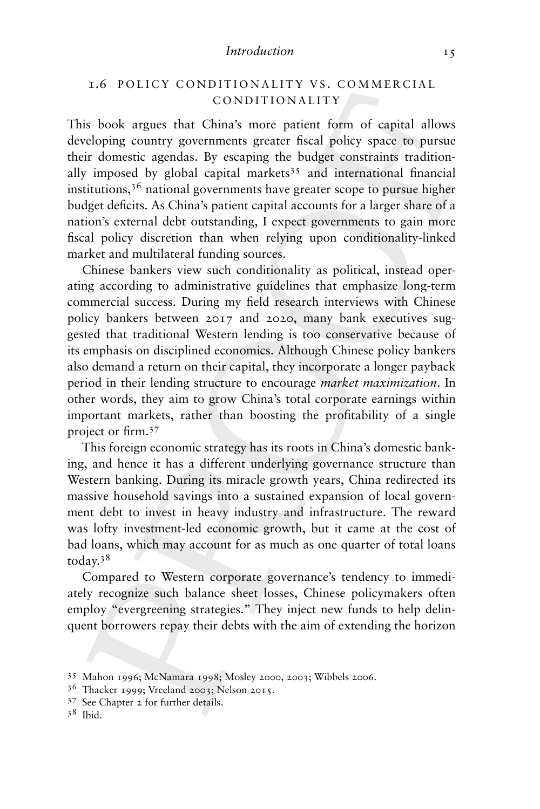#### *Introduction* 15

## **1.6 POLICY CONDITIONALITY VS. COMMERCIAL** CONDITIONALITY

This book argues that China's more patient form of capital allows developing country governments greater fiscal policy space to pursue their domestic agendas. By escaping the budget constraints traditionally imposed by global capital markets<sup>35</sup> and international financial institutions,<sup>36</sup> national governments have greater scope to pursue higher budget deficits. As China's patient capital accounts for a larger share of a nation's external debt outstanding, I expect governments to gain more fiscal policy discretion than when relying upon conditionality-linked market and multilateral funding sources.

Chinese bankers view such conditionality as political, instead operating according to administrative guidelines that emphasize long-term commercial success. During my field research interviews with Chinese policy bankers between 2017 and 2020, many bank executives suggested that traditional Western lending is too conservative because of its emphasis on disciplined economics. Although Chinese policy bankers also demand a return on their capital, they incorporate a longer payback period in their lending structure to encourage *market maximization*. In other words, they aim to grow China's total corporate earnings within important markets, rather than boosting the profitability of a single project or firm.<sup>37</sup>

This foreign economic strategy has its roots in China's domestic banking, and hence it has a different underlying governance structure than Western banking. During its miracle growth years, China redirected its massive household savings into a sustained expansion of local government debt to invest in heavy industry and infrastructure. The reward was lofty investment-led economic growth, but it came at the cost of bad loans, which may account for as much as one quarter of total loans today.<sup>38</sup>

Compared to Western corporate governance's tendency to immediately recognize such balance sheet losses, Chinese policymakers often employ "evergreening strategies." They inject new funds to help delinquent borrowers repay their debts with the aim of extending the horizon

<sup>35</sup> Mahon 1996; McNamara 1998; Mosley 2000, 2003; Wibbels 2006.

<sup>36</sup> Thacker 1999; Vreeland 2003; Nelson 2015.

<sup>37</sup> See Chapter 2 for further details.

<sup>38</sup> Ibid.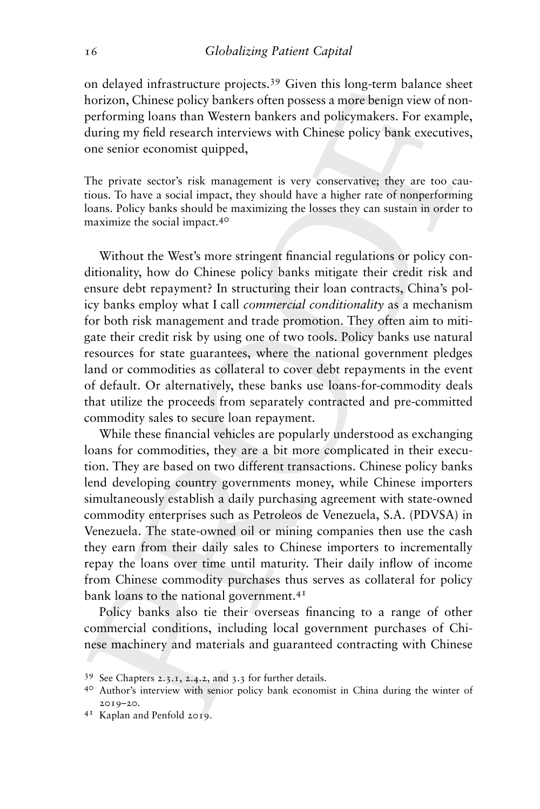on delayed infrastructure projects.<sup>39</sup> Given this long-term balance sheet horizon, Chinese policy bankers often possess a more benign view of nonperforming loans than Western bankers and policymakers. For example, during my field research interviews with Chinese policy bank executives, one senior economist quipped,

The private sector's risk management is very conservative; they are too cautious. To have a social impact, they should have a higher rate of nonperforming loans. Policy banks should be maximizing the losses they can sustain in order to maximize the social impact.40

Without the West's more stringent financial regulations or policy conditionality, how do Chinese policy banks mitigate their credit risk and ensure debt repayment? In structuring their loan contracts, China's policy banks employ what I call *commercial conditionality* as a mechanism for both risk management and trade promotion. They often aim to mitigate their credit risk by using one of two tools. Policy banks use natural resources for state guarantees, where the national government pledges land or commodities as collateral to cover debt repayments in the event of default. Or alternatively, these banks use loans-for-commodity deals that utilize the proceeds from separately contracted and pre-committed commodity sales to secure loan repayment.

While these financial vehicles are popularly understood as exchanging loans for commodities, they are a bit more complicated in their execution. They are based on two different transactions. Chinese policy banks lend developing country governments money, while Chinese importers simultaneously establish a daily purchasing agreement with state-owned commodity enterprises such as Petroleos de Venezuela, S.A. (PDVSA) in Venezuela. The state-owned oil or mining companies then use the cash they earn from their daily sales to Chinese importers to incrementally repay the loans over time until maturity. Their daily inflow of income from Chinese commodity purchases thus serves as collateral for policy bank loans to the national government.<sup>41</sup>

Policy banks also tie their overseas financing to a range of other commercial conditions, including local government purchases of Chinese machinery and materials and guaranteed contracting with Chinese

<sup>39</sup> See Chapters 2.3.1, 2.4.2, and 3.3 for further details.

<sup>40</sup> Author's interview with senior policy bank economist in China during the winter of 2019–20.

<sup>41</sup> Kaplan and Penfold 2019.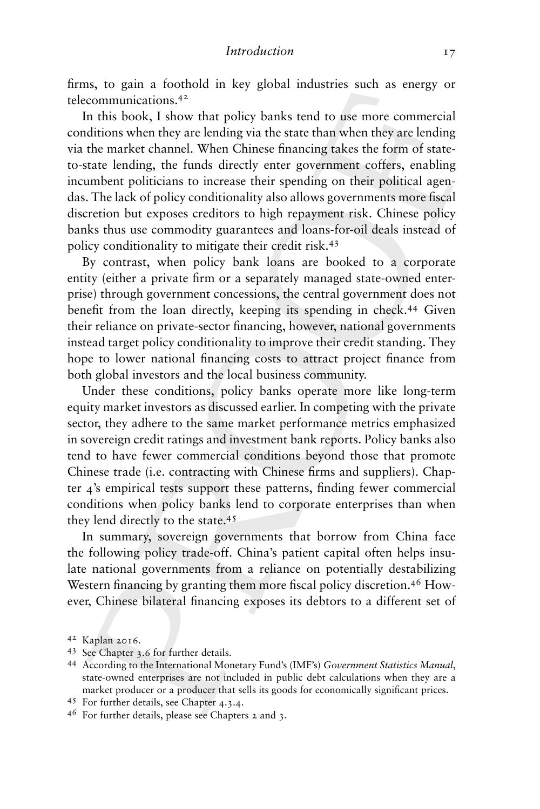firms, to gain a foothold in key global industries such as energy or telecommunications.42

In this book, I show that policy banks tend to use more commercial conditions when they are lending via the state than when they are lending via the market channel. When Chinese financing takes the form of stateto-state lending, the funds directly enter government coffers, enabling incumbent politicians to increase their spending on their political agendas. The lack of policy conditionality also allows governments more fiscal discretion but exposes creditors to high repayment risk. Chinese policy banks thus use commodity guarantees and loans-for-oil deals instead of policy conditionality to mitigate their credit risk.<sup>43</sup>

By contrast, when policy bank loans are booked to a corporate entity (either a private firm or a separately managed state-owned enterprise) through government concessions, the central government does not benefit from the loan directly, keeping its spending in check.<sup>44</sup> Given their reliance on private-sector financing, however, national governments instead target policy conditionality to improve their credit standing. They hope to lower national financing costs to attract project finance from both global investors and the local business community.

Under these conditions, policy banks operate more like long-term equity market investors as discussed earlier. In competing with the private sector, they adhere to the same market performance metrics emphasized in sovereign credit ratings and investment bank reports. Policy banks also tend to have fewer commercial conditions beyond those that promote Chinese trade (i.e. contracting with Chinese firms and suppliers). Chapter 4's empirical tests support these patterns, finding fewer commercial conditions when policy banks lend to corporate enterprises than when they lend directly to the state.<sup>45</sup>

In summary, sovereign governments that borrow from China face the following policy trade-off. China's patient capital often helps insulate national governments from a reliance on potentially destabilizing Western financing by granting them more fiscal policy discretion.<sup>46</sup> However, Chinese bilateral financing exposes its debtors to a different set of

<sup>42</sup> Kaplan 2016.

<sup>43</sup> See Chapter 3.6 for further details.

<sup>44</sup> According to the International Monetary Fund's (IMF's) *Government Statistics Manual*, state-owned enterprises are not included in public debt calculations when they are a market producer or a producer that sells its goods for economically significant prices.

<sup>45</sup> For further details, see Chapter 4.3.4.

<sup>46</sup> For further details, please see Chapters 2 and 3.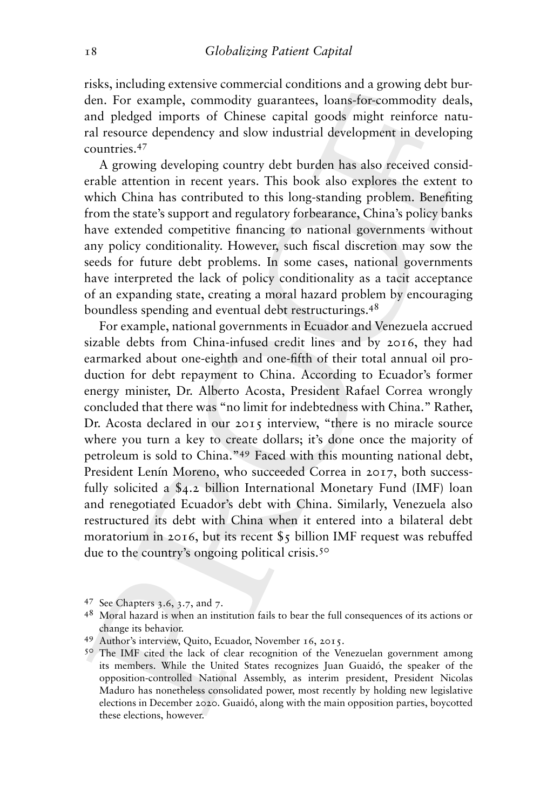risks, including extensive commercial conditions and a growing debt burden. For example, commodity guarantees, loans-for-commodity deals, and pledged imports of Chinese capital goods might reinforce natural resource dependency and slow industrial development in developing countries.<sup>47</sup>

A growing developing country debt burden has also received considerable attention in recent years. This book also explores the extent to which China has contributed to this long-standing problem. Benefiting from the state's support and regulatory forbearance, China's policy banks have extended competitive financing to national governments without any policy conditionality. However, such fiscal discretion may sow the seeds for future debt problems. In some cases, national governments have interpreted the lack of policy conditionality as a tacit acceptance of an expanding state, creating a moral hazard problem by encouraging boundless spending and eventual debt restructurings.<sup>48</sup>

For example, national governments in Ecuador and Venezuela accrued sizable debts from China-infused credit lines and by 2016, they had earmarked about one-eighth and one-fifth of their total annual oil production for debt repayment to China. According to Ecuador's former energy minister, Dr. Alberto Acosta, President Rafael Correa wrongly concluded that there was "no limit for indebtedness with China." Rather, Dr. Acosta declared in our 2015 interview, "there is no miracle source where you turn a key to create dollars; it's done once the majority of petroleum is sold to China."49 Faced with this mounting national debt, President Lenín Moreno, who succeeded Correa in 2017, both successfully solicited a \$4.2 billion International Monetary Fund (IMF) loan and renegotiated Ecuador's debt with China. Similarly, Venezuela also restructured its debt with China when it entered into a bilateral debt moratorium in 2016, but its recent \$5 billion IMF request was rebuffed due to the country's ongoing political crisis.<sup>50</sup>

<sup>47</sup> See Chapters 3.6, 3.7, and 7.

<sup>48</sup> Moral hazard is when an institution fails to bear the full consequences of its actions or change its behavior.

<sup>49</sup> Author's interview, Quito, Ecuador, November 16, 2015.

<sup>&</sup>lt;sup>50</sup> The IMF cited the lack of clear recognition of the Venezuelan government among its members. While the United States recognizes Juan Guaidó, the speaker of the opposition-controlled National Assembly, as interim president, President Nicolas Maduro has nonetheless consolidated power, most recently by holding new legislative elections in December 2020. Guaidó, along with the main opposition parties, boycotted these elections, however.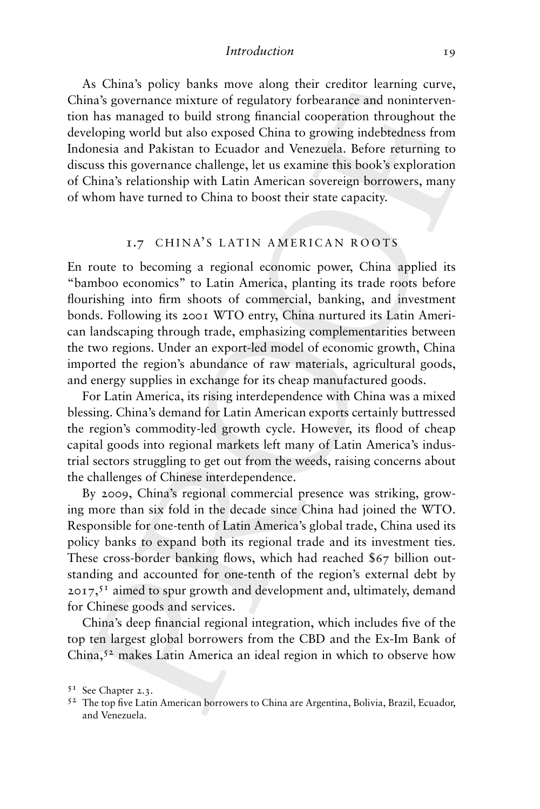#### *Introduction* 19

As China's policy banks move along their creditor learning curve, China's governance mixture of regulatory forbearance and nonintervention has managed to build strong financial cooperation throughout the developing world but also exposed China to growing indebtedness from Indonesia and Pakistan to Ecuador and Venezuela. Before returning to discuss this governance challenge, let us examine this book's exploration of China's relationship with Latin American sovereign borrowers, many of whom have turned to China to boost their state capacity.

#### 1.7 CHINA'S LATIN AMERICAN ROOTS

En route to becoming a regional economic power, China applied its "bamboo economics" to Latin America, planting its trade roots before flourishing into firm shoots of commercial, banking, and investment bonds. Following its 2001 WTO entry, China nurtured its Latin American landscaping through trade, emphasizing complementarities between the two regions. Under an export-led model of economic growth, China imported the region's abundance of raw materials, agricultural goods, and energy supplies in exchange for its cheap manufactured goods.

For Latin America, its rising interdependence with China was a mixed blessing. China's demand for Latin American exports certainly buttressed the region's commodity-led growth cycle. However, its flood of cheap capital goods into regional markets left many of Latin America's industrial sectors struggling to get out from the weeds, raising concerns about the challenges of Chinese interdependence.

By 2009, China's regional commercial presence was striking, growing more than six fold in the decade since China had joined the WTO. Responsible for one-tenth of Latin America's global trade, China used its policy banks to expand both its regional trade and its investment ties. These cross-border banking flows, which had reached \$67 billion outstanding and accounted for one-tenth of the region's external debt by  $2017,51$  aimed to spur growth and development and, ultimately, demand for Chinese goods and services.

China's deep financial regional integration, which includes five of the top ten largest global borrowers from the CBD and the Ex-Im Bank of China,<sup>52</sup> makes Latin America an ideal region in which to observe how

<sup>51</sup> See Chapter 2.3.

<sup>52</sup> The top five Latin American borrowers to China are Argentina, Bolivia, Brazil, Ecuador, and Venezuela.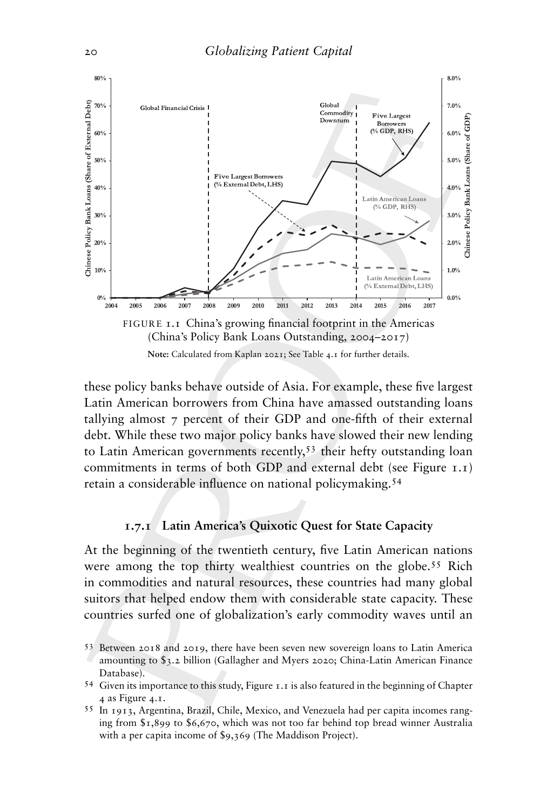

these policy banks behave outside of Asia. For example, these five largest Latin American borrowers from China have amassed outstanding loans tallying almost 7 percent of their GDP and one-fifth of their external debt. While these two major policy banks have slowed their new lending to Latin American governments recently,<sup>53</sup> their hefty outstanding loan commitments in terms of both GDP and external debt (see Figure 1.1) retain a considerable influence on national policymaking.54

## **1.7.1 Latin America's Quixotic Quest for State Capacity**

At the beginning of the twentieth century, five Latin American nations were among the top thirty wealthiest countries on the globe.55 Rich in commodities and natural resources, these countries had many global suitors that helped endow them with considerable state capacity. These countries surfed one of globalization's early commodity waves until an

<sup>53</sup> Between 2018 and 2019, there have been seven new sovereign loans to Latin America amounting to \$3.2 billion (Gallagher and Myers 2020; China-Latin American Finance Database).

<sup>54</sup> Given its importance to this study, Figure 1.1 is also featured in the beginning of Chapter 4 as Figure 4.1.

<sup>55</sup> In 1913, Argentina, Brazil, Chile, Mexico, and Venezuela had per capita incomes ranging from \$1,899 to \$6,670, which was not too far behind top bread winner Australia with a per capita income of \$9,369 (The Maddison Project).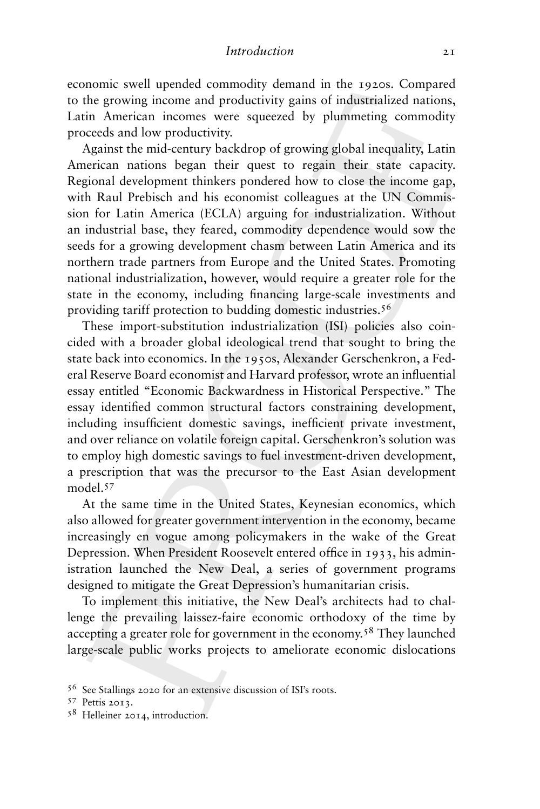economic swell upended commodity demand in the 1920s. Compared to the growing income and productivity gains of industrialized nations, Latin American incomes were squeezed by plummeting commodity proceeds and low productivity.

Against the mid-century backdrop of growing global inequality, Latin American nations began their quest to regain their state capacity. Regional development thinkers pondered how to close the income gap, with Raul Prebisch and his economist colleagues at the UN Commission for Latin America (ECLA) arguing for industrialization. Without an industrial base, they feared, commodity dependence would sow the seeds for a growing development chasm between Latin America and its northern trade partners from Europe and the United States. Promoting national industrialization, however, would require a greater role for the state in the economy, including financing large-scale investments and providing tariff protection to budding domestic industries.<sup>56</sup>

These import-substitution industrialization (ISI) policies also coincided with a broader global ideological trend that sought to bring the state back into economics. In the 1950s, Alexander Gerschenkron, a Federal Reserve Board economist and Harvard professor, wrote an influential essay entitled "Economic Backwardness in Historical Perspective." The essay identified common structural factors constraining development, including insufficient domestic savings, inefficient private investment, and over reliance on volatile foreign capital. Gerschenkron's solution was to employ high domestic savings to fuel investment-driven development, a prescription that was the precursor to the East Asian development model.<sup>57</sup>

At the same time in the United States, Keynesian economics, which also allowed for greater government intervention in the economy, became increasingly en vogue among policymakers in the wake of the Great Depression. When President Roosevelt entered office in 1933, his administration launched the New Deal, a series of government programs designed to mitigate the Great Depression's humanitarian crisis.

To implement this initiative, the New Deal's architects had to challenge the prevailing laissez-faire economic orthodoxy of the time by accepting a greater role for government in the economy.<sup>58</sup> They launched large-scale public works projects to ameliorate economic dislocations

<sup>56</sup> See Stallings 2020 for an extensive discussion of ISI's roots.

<sup>57</sup> Pettis 2013.

<sup>58</sup> Helleiner 2014, introduction.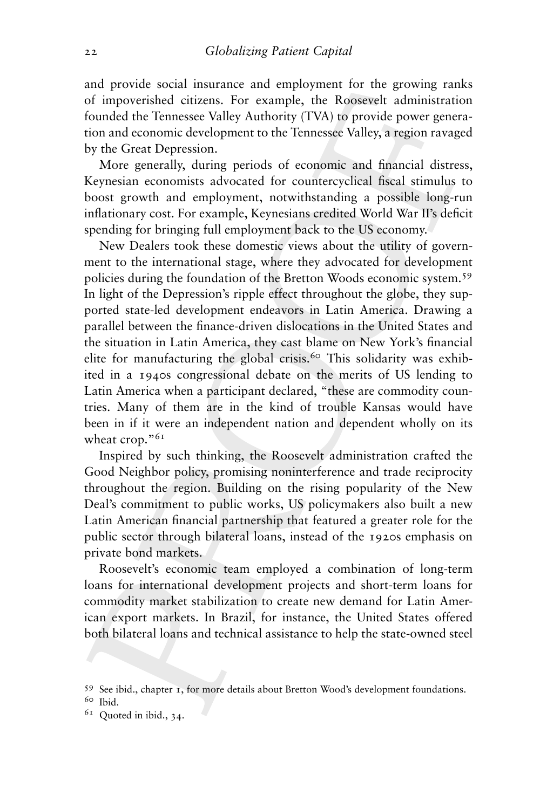and provide social insurance and employment for the growing ranks of impoverished citizens. For example, the Roosevelt administration founded the Tennessee Valley Authority (TVA) to provide power generation and economic development to the Tennessee Valley, a region ravaged by the Great Depression.

More generally, during periods of economic and financial distress, Keynesian economists advocated for countercyclical fiscal stimulus to boost growth and employment, notwithstanding a possible long-run inflationary cost. For example, Keynesians credited World War II's deficit spending for bringing full employment back to the US economy.

New Dealers took these domestic views about the utility of government to the international stage, where they advocated for development policies during the foundation of the Bretton Woods economic system.<sup>59</sup> In light of the Depression's ripple effect throughout the globe, they supported state-led development endeavors in Latin America. Drawing a parallel between the finance-driven dislocations in the United States and the situation in Latin America, they cast blame on New York's financial elite for manufacturing the global crisis.<sup>60</sup> This solidarity was exhibited in a 1940s congressional debate on the merits of US lending to Latin America when a participant declared, "these are commodity countries. Many of them are in the kind of trouble Kansas would have been in if it were an independent nation and dependent wholly on its wheat crop."<sup>61</sup>

Inspired by such thinking, the Roosevelt administration crafted the Good Neighbor policy, promising noninterference and trade reciprocity throughout the region. Building on the rising popularity of the New Deal's commitment to public works, US policymakers also built a new Latin American financial partnership that featured a greater role for the public sector through bilateral loans, instead of the 1920s emphasis on private bond markets.

Roosevelt's economic team employed a combination of long-term loans for international development projects and short-term loans for commodity market stabilization to create new demand for Latin American export markets. In Brazil, for instance, the United States offered both bilateral loans and technical assistance to help the state-owned steel

<sup>59</sup> See ibid., chapter 1, for more details about Bretton Wood's development foundations.

<sup>60</sup> Ibid.

 $61$  Quoted in ibid., 34.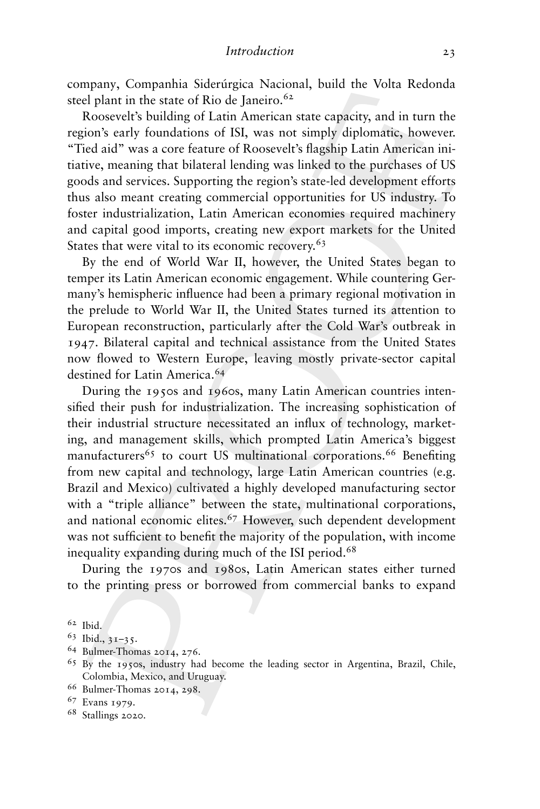company, Companhia Siderúrgica Nacional, build the Volta Redonda steel plant in the state of Rio de Janeiro. $62$ 

Roosevelt's building of Latin American state capacity, and in turn the region's early foundations of ISI, was not simply diplomatic, however. "Tied aid" was a core feature of Roosevelt's flagship Latin American initiative, meaning that bilateral lending was linked to the purchases of US goods and services. Supporting the region's state-led development efforts thus also meant creating commercial opportunities for US industry. To foster industrialization, Latin American economies required machinery and capital good imports, creating new export markets for the United States that were vital to its economic recovery.<sup>63</sup>

By the end of World War II, however, the United States began to temper its Latin American economic engagement. While countering Germany's hemispheric influence had been a primary regional motivation in the prelude to World War II, the United States turned its attention to European reconstruction, particularly after the Cold War's outbreak in 1947. Bilateral capital and technical assistance from the United States now flowed to Western Europe, leaving mostly private-sector capital destined for Latin America.<sup>64</sup>

During the 1950s and 1960s, many Latin American countries intensified their push for industrialization. The increasing sophistication of their industrial structure necessitated an influx of technology, marketing, and management skills, which prompted Latin America's biggest manufacturers<sup>65</sup> to court US multinational corporations.<sup>66</sup> Benefiting from new capital and technology, large Latin American countries (e.g. Brazil and Mexico) cultivated a highly developed manufacturing sector with a "triple alliance" between the state, multinational corporations, and national economic elites.<sup>67</sup> However, such dependent development was not sufficient to benefit the majority of the population, with income inequality expanding during much of the ISI period.<sup>68</sup>

During the 1970s and 1980s, Latin American states either turned to the printing press or borrowed from commercial banks to expand

<sup>64</sup> Bulmer-Thomas 2014, 276.

<sup>66</sup> Bulmer-Thomas 2014, 298.

<sup>68</sup> Stallings 2020.

<sup>62</sup> Ibid.

 $63$  Ibid.,  $31-35$ .

<sup>65</sup> By the 1950s, industry had become the leading sector in Argentina, Brazil, Chile, Colombia, Mexico, and Uruguay.

<sup>67</sup> Evans 1979.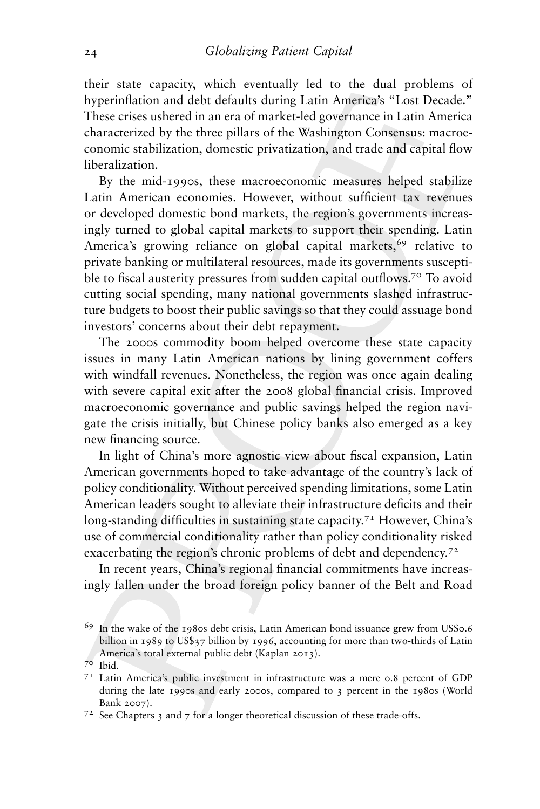their state capacity, which eventually led to the dual problems of hyperinflation and debt defaults during Latin America's "Lost Decade." These crises ushered in an era of market-led governance in Latin America characterized by the three pillars of the Washington Consensus: macroeconomic stabilization, domestic privatization, and trade and capital flow liberalization.

By the mid-1990s, these macroeconomic measures helped stabilize Latin American economies. However, without sufficient tax revenues or developed domestic bond markets, the region's governments increasingly turned to global capital markets to support their spending. Latin America's growing reliance on global capital markets,<sup>69</sup> relative to private banking or multilateral resources, made its governments susceptible to fiscal austerity pressures from sudden capital outflows.<sup>70</sup> To avoid cutting social spending, many national governments slashed infrastructure budgets to boost their public savings so that they could assuage bond investors' concerns about their debt repayment.

The 2000s commodity boom helped overcome these state capacity issues in many Latin American nations by lining government coffers with windfall revenues. Nonetheless, the region was once again dealing with severe capital exit after the 2008 global financial crisis. Improved macroeconomic governance and public savings helped the region navigate the crisis initially, but Chinese policy banks also emerged as a key new financing source.

In light of China's more agnostic view about fiscal expansion, Latin American governments hoped to take advantage of the country's lack of policy conditionality. Without perceived spending limitations, some Latin American leaders sought to alleviate their infrastructure deficits and their long-standing difficulties in sustaining state capacity.<sup>71</sup> However, China's use of commercial conditionality rather than policy conditionality risked exacerbating the region's chronic problems of debt and dependency.<sup>72</sup>

In recent years, China's regional financial commitments have increasingly fallen under the broad foreign policy banner of the Belt and Road

<sup>69</sup> In the wake of the 1980s debt crisis, Latin American bond issuance grew from US\$0.6 billion in 1989 to US\$37 billion by 1996, accounting for more than two-thirds of Latin America's total external public debt (Kaplan 2013).

<sup>70</sup> Ibid.

<sup>71</sup> Latin America's public investment in infrastructure was a mere 0.8 percent of GDP during the late 1990s and early 2000s, compared to 3 percent in the 1980s (World Bank 2007).

 $7<sup>2</sup>$  See Chapters 3 and 7 for a longer theoretical discussion of these trade-offs.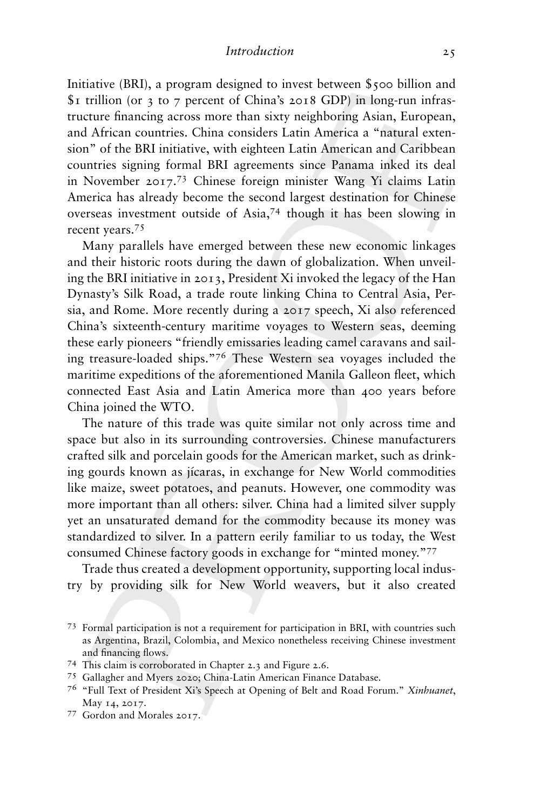Initiative (BRI), a program designed to invest between \$500 billion and \$1 trillion (or 3 to 7 percent of China's 2018 GDP) in long-run infrastructure financing across more than sixty neighboring Asian, European, and African countries. China considers Latin America a "natural extension" of the BRI initiative, with eighteen Latin American and Caribbean countries signing formal BRI agreements since Panama inked its deal in November 2017.<sup>73</sup> Chinese foreign minister Wang Yi claims Latin America has already become the second largest destination for Chinese overseas investment outside of Asia,74 though it has been slowing in recent years.75

Many parallels have emerged between these new economic linkages and their historic roots during the dawn of globalization. When unveiling the BRI initiative in 2013, President Xi invoked the legacy of the Han Dynasty's Silk Road, a trade route linking China to Central Asia, Persia, and Rome. More recently during a 2017 speech, Xi also referenced China's sixteenth-century maritime voyages to Western seas, deeming these early pioneers "friendly emissaries leading camel caravans and sailing treasure-loaded ships."<sup>76</sup> These Western sea voyages included the maritime expeditions of the aforementioned Manila Galleon fleet, which connected East Asia and Latin America more than 400 years before China joined the WTO.

The nature of this trade was quite similar not only across time and space but also in its surrounding controversies. Chinese manufacturers crafted silk and porcelain goods for the American market, such as drinking gourds known as jícaras, in exchange for New World commodities like maize, sweet potatoes, and peanuts. However, one commodity was more important than all others: silver. China had a limited silver supply yet an unsaturated demand for the commodity because its money was standardized to silver. In a pattern eerily familiar to us today, the West consumed Chinese factory goods in exchange for "minted money."77

Trade thus created a development opportunity, supporting local industry by providing silk for New World weavers, but it also created

<sup>73</sup> Formal participation is not a requirement for participation in BRI, with countries such as Argentina, Brazil, Colombia, and Mexico nonetheless receiving Chinese investment and financing flows.

<sup>74</sup> This claim is corroborated in Chapter 2.3 and Figure 2.6.

<sup>75</sup> Gallagher and Myers 2020; China-Latin American Finance Database.

<sup>76</sup> "Full Text of President Xi's Speech at Opening of Belt and Road Forum." *Xinhuanet*, May 14, 2017.

<sup>77</sup> Gordon and Morales 2017.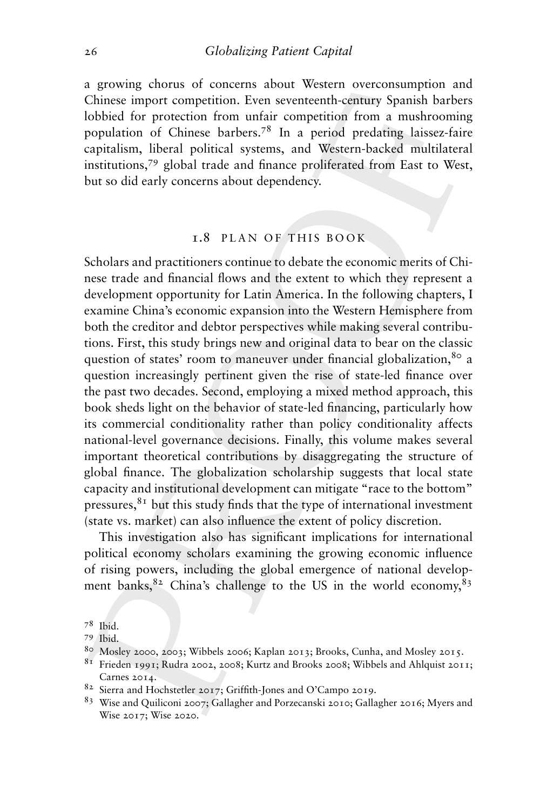a growing chorus of concerns about Western overconsumption and Chinese import competition. Even seventeenth-century Spanish barbers lobbied for protection from unfair competition from a mushrooming population of Chinese barbers.78 In a period predating laissez-faire capitalism, liberal political systems, and Western-backed multilateral institutions,79 global trade and finance proliferated from East to West, but so did early concerns about dependency.

## 1.8 PLAN OF THIS BOOK

Scholars and practitioners continue to debate the economic merits of Chinese trade and financial flows and the extent to which they represent a development opportunity for Latin America. In the following chapters, I examine China's economic expansion into the Western Hemisphere from both the creditor and debtor perspectives while making several contributions. First, this study brings new and original data to bear on the classic question of states' room to maneuver under financial globalization, <sup>80</sup> a question increasingly pertinent given the rise of state-led finance over the past two decades. Second, employing a mixed method approach, this book sheds light on the behavior of state-led financing, particularly how its commercial conditionality rather than policy conditionality affects national-level governance decisions. Finally, this volume makes several important theoretical contributions by disaggregating the structure of global finance. The globalization scholarship suggests that local state capacity and institutional development can mitigate "race to the bottom" pressures,81 but this study finds that the type of international investment (state vs. market) can also influence the extent of policy discretion.

This investigation also has significant implications for international political economy scholars examining the growing economic influence of rising powers, including the global emergence of national development banks,  $82$  China's challenge to the US in the world economy,  $83$ 

<sup>78</sup> Ibid.

<sup>79</sup> Ibid.

<sup>80</sup> Mosley 2000, 2003; Wibbels 2006; Kaplan 2013; Brooks, Cunha, and Mosley 2015.

 $81$  Frieden 1991; Rudra 2002, 2008; Kurtz and Brooks 2008; Wibbels and Ahlquist 2011; Carnes 2014.

<sup>82</sup> Sierra and Hochstetler 2017; Griffith-Jones and O'Campo 2019.

<sup>83</sup> Wise and Quiliconi 2007; Gallagher and Porzecanski 2010; Gallagher 2016; Myers and Wise 2017; Wise 2020.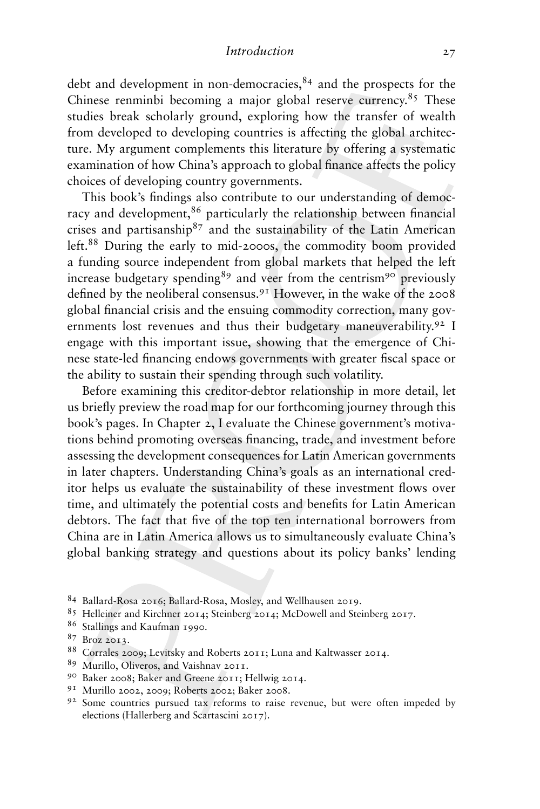debt and development in non-democracies, $84$  and the prospects for the Chinese renminbi becoming a major global reserve currency.<sup>85</sup> These studies break scholarly ground, exploring how the transfer of wealth from developed to developing countries is affecting the global architecture. My argument complements this literature by offering a systematic examination of how China's approach to global finance affects the policy choices of developing country governments.

This book's findings also contribute to our understanding of democracy and development,<sup>86</sup> particularly the relationship between financial crises and partisanship<sup>87</sup> and the sustainability of the Latin American left.<sup>88</sup> During the early to mid-2000s, the commodity boom provided a funding source independent from global markets that helped the left increase budgetary spending<sup>89</sup> and veer from the centrism<sup>90</sup> previously defined by the neoliberal consensus.91 However, in the wake of the 2008 global financial crisis and the ensuing commodity correction, many governments lost revenues and thus their budgetary maneuverability.<sup>92</sup> I engage with this important issue, showing that the emergence of Chinese state-led financing endows governments with greater fiscal space or the ability to sustain their spending through such volatility.

Before examining this creditor-debtor relationship in more detail, let us briefly preview the road map for our forthcoming journey through this book's pages. In Chapter 2, I evaluate the Chinese government's motivations behind promoting overseas financing, trade, and investment before assessing the development consequences for Latin American governments in later chapters. Understanding China's goals as an international creditor helps us evaluate the sustainability of these investment flows over time, and ultimately the potential costs and benefits for Latin American debtors. The fact that five of the top ten international borrowers from China are in Latin America allows us to simultaneously evaluate China's global banking strategy and questions about its policy banks' lending

<sup>84</sup> Ballard-Rosa 2016; Ballard-Rosa, Mosley, and Wellhausen 2019.

<sup>85</sup> Helleiner and Kirchner 2014; Steinberg 2014; McDowell and Steinberg 2017.

<sup>86</sup> Stallings and Kaufman 1990.

<sup>87</sup> Broz 2013.

<sup>88</sup> Corrales 2009; Levitsky and Roberts 2011; Luna and Kaltwasser 2014.

<sup>89</sup> Murillo, Oliveros, and Vaishnav 2011.

<sup>90</sup> Baker 2008; Baker and Greene 2011; Hellwig 2014.

<sup>91</sup> Murillo 2002, 2009; Roberts 2002; Baker 2008.

<sup>92</sup> Some countries pursued tax reforms to raise revenue, but were often impeded by elections (Hallerberg and Scartascini 2017).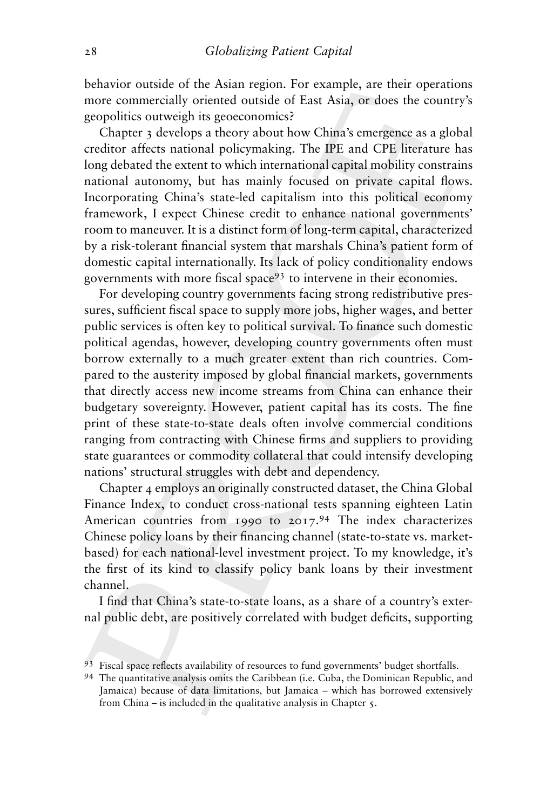behavior outside of the Asian region. For example, are their operations more commercially oriented outside of East Asia, or does the country's geopolitics outweigh its geoeconomics?

Chapter 3 develops a theory about how China's emergence as a global creditor affects national policymaking. The IPE and CPE literature has long debated the extent to which international capital mobility constrains national autonomy, but has mainly focused on private capital flows. Incorporating China's state-led capitalism into this political economy framework, I expect Chinese credit to enhance national governments' room to maneuver. It is a distinct form of long-term capital, characterized by a risk-tolerant financial system that marshals China's patient form of domestic capital internationally. Its lack of policy conditionality endows governments with more fiscal space<sup>93</sup> to intervene in their economies.

For developing country governments facing strong redistributive pressures, sufficient fiscal space to supply more jobs, higher wages, and better public services is often key to political survival. To finance such domestic political agendas, however, developing country governments often must borrow externally to a much greater extent than rich countries. Compared to the austerity imposed by global financial markets, governments that directly access new income streams from China can enhance their budgetary sovereignty. However, patient capital has its costs. The fine print of these state-to-state deals often involve commercial conditions ranging from contracting with Chinese firms and suppliers to providing state guarantees or commodity collateral that could intensify developing nations' structural struggles with debt and dependency.

Chapter 4 employs an originally constructed dataset, the China Global Finance Index, to conduct cross-national tests spanning eighteen Latin American countries from 1990 to 2017.<sup>94</sup> The index characterizes Chinese policy loans by their financing channel (state-to-state vs. marketbased) for each national-level investment project. To my knowledge, it's the first of its kind to classify policy bank loans by their investment channel.

I find that China's state-to-state loans, as a share of a country's external public debt, are positively correlated with budget deficits, supporting

<sup>93</sup> Fiscal space reflects availability of resources to fund governments' budget shortfalls.

<sup>94</sup> The quantitative analysis omits the Caribbean (i.e. Cuba, the Dominican Republic, and Jamaica) because of data limitations, but Jamaica – which has borrowed extensively from China – is included in the qualitative analysis in Chapter 5.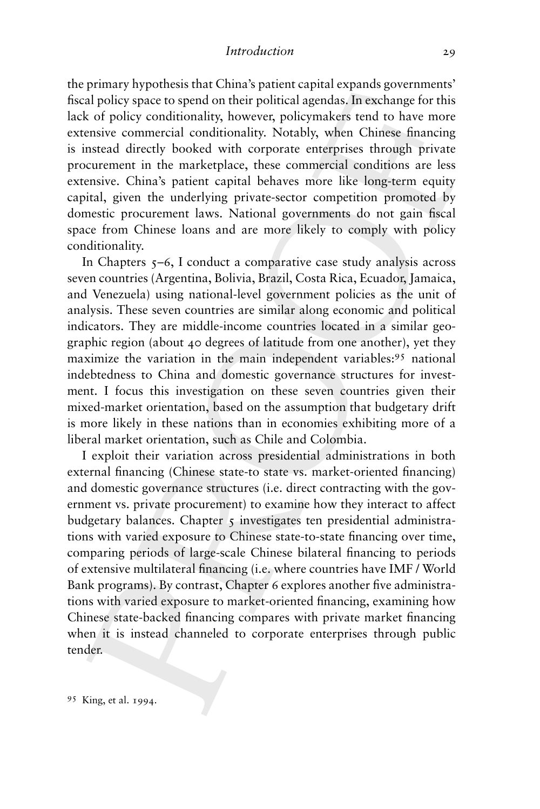the primary hypothesis that China's patient capital expands governments' fiscal policy space to spend on their political agendas. In exchange for this lack of policy conditionality, however, policymakers tend to have more extensive commercial conditionality. Notably, when Chinese financing is instead directly booked with corporate enterprises through private procurement in the marketplace, these commercial conditions are less extensive. China's patient capital behaves more like long-term equity capital, given the underlying private-sector competition promoted by domestic procurement laws. National governments do not gain fiscal space from Chinese loans and are more likely to comply with policy conditionality.

In Chapters  $5-6$ , I conduct a comparative case study analysis across seven countries (Argentina, Bolivia, Brazil, Costa Rica, Ecuador, Jamaica, and Venezuela) using national-level government policies as the unit of analysis. These seven countries are similar along economic and political indicators. They are middle-income countries located in a similar geographic region (about 40 degrees of latitude from one another), yet they maximize the variation in the main independent variables:<sup>95</sup> national indebtedness to China and domestic governance structures for investment. I focus this investigation on these seven countries given their mixed-market orientation, based on the assumption that budgetary drift is more likely in these nations than in economies exhibiting more of a liberal market orientation, such as Chile and Colombia.

I exploit their variation across presidential administrations in both external financing (Chinese state-to state vs. market-oriented financing) and domestic governance structures (i.e. direct contracting with the government vs. private procurement) to examine how they interact to affect budgetary balances. Chapter  $\zeta$  investigates ten presidential administrations with varied exposure to Chinese state-to-state financing over time, comparing periods of large-scale Chinese bilateral financing to periods of extensive multilateral financing (i.e. where countries have IMF / World Bank programs). By contrast, Chapter 6 explores another five administrations with varied exposure to market-oriented financing, examining how Chinese state-backed financing compares with private market financing when it is instead channeled to corporate enterprises through public tender.

<sup>95</sup> King, et al. 1994.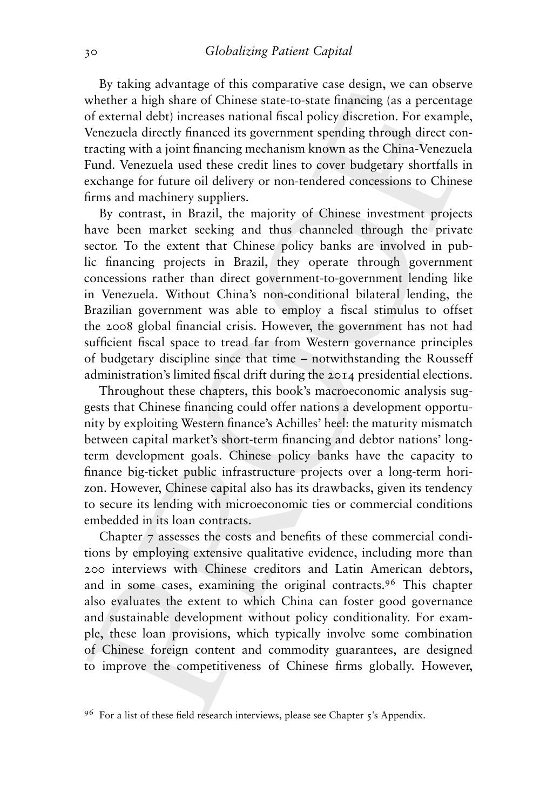By taking advantage of this comparative case design, we can observe whether a high share of Chinese state-to-state financing (as a percentage of external debt) increases national fiscal policy discretion. For example, Venezuela directly financed its government spending through direct contracting with a joint financing mechanism known as the China-Venezuela Fund. Venezuela used these credit lines to cover budgetary shortfalls in exchange for future oil delivery or non-tendered concessions to Chinese firms and machinery suppliers.

By contrast, in Brazil, the majority of Chinese investment projects have been market seeking and thus channeled through the private sector. To the extent that Chinese policy banks are involved in public financing projects in Brazil, they operate through government concessions rather than direct government-to-government lending like in Venezuela. Without China's non-conditional bilateral lending, the Brazilian government was able to employ a fiscal stimulus to offset the 2008 global financial crisis. However, the government has not had sufficient fiscal space to tread far from Western governance principles of budgetary discipline since that time – notwithstanding the Rousseff administration's limited fiscal drift during the 2014 presidential elections.

Throughout these chapters, this book's macroeconomic analysis suggests that Chinese financing could offer nations a development opportunity by exploiting Western finance's Achilles' heel: the maturity mismatch between capital market's short-term financing and debtor nations' longterm development goals. Chinese policy banks have the capacity to finance big-ticket public infrastructure projects over a long-term horizon. However, Chinese capital also has its drawbacks, given its tendency to secure its lending with microeconomic ties or commercial conditions embedded in its loan contracts.

Chapter 7 assesses the costs and benefits of these commercial conditions by employing extensive qualitative evidence, including more than 200 interviews with Chinese creditors and Latin American debtors, and in some cases, examining the original contracts.<sup>96</sup> This chapter also evaluates the extent to which China can foster good governance and sustainable development without policy conditionality. For example, these loan provisions, which typically involve some combination of Chinese foreign content and commodity guarantees, are designed to improve the competitiveness of Chinese firms globally. However,

<sup>96</sup> For a list of these field research interviews, please see Chapter 5's Appendix.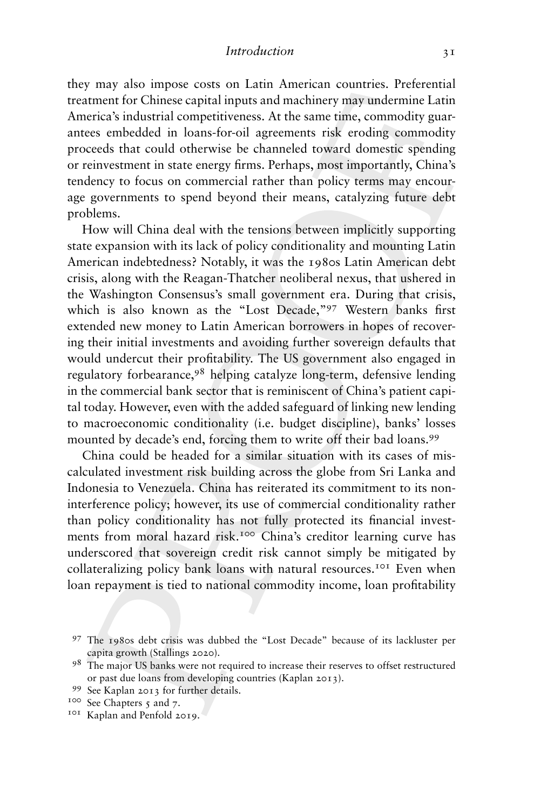they may also impose costs on Latin American countries. Preferential treatment for Chinese capital inputs and machinery may undermine Latin America's industrial competitiveness. At the same time, commodity guarantees embedded in loans-for-oil agreements risk eroding commodity proceeds that could otherwise be channeled toward domestic spending or reinvestment in state energy firms. Perhaps, most importantly, China's tendency to focus on commercial rather than policy terms may encourage governments to spend beyond their means, catalyzing future debt problems.

How will China deal with the tensions between implicitly supporting state expansion with its lack of policy conditionality and mounting Latin American indebtedness? Notably, it was the 1980s Latin American debt crisis, along with the Reagan-Thatcher neoliberal nexus, that ushered in the Washington Consensus's small government era. During that crisis, which is also known as the "Lost Decade,"97 Western banks first extended new money to Latin American borrowers in hopes of recovering their initial investments and avoiding further sovereign defaults that would undercut their profitability. The US government also engaged in regulatory forbearance,<sup>98</sup> helping catalyze long-term, defensive lending in the commercial bank sector that is reminiscent of China's patient capital today. However, even with the added safeguard of linking new lending to macroeconomic conditionality (i.e. budget discipline), banks' losses mounted by decade's end, forcing them to write off their bad loans.<sup>99</sup>

China could be headed for a similar situation with its cases of miscalculated investment risk building across the globe from Sri Lanka and Indonesia to Venezuela. China has reiterated its commitment to its noninterference policy; however, its use of commercial conditionality rather than policy conditionality has not fully protected its financial investments from moral hazard risk.<sup>100</sup> China's creditor learning curve has underscored that sovereign credit risk cannot simply be mitigated by collateralizing policy bank loans with natural resources.<sup>101</sup> Even when loan repayment is tied to national commodity income, loan profitability

<sup>97</sup> The 1980s debt crisis was dubbed the "Lost Decade" because of its lackluster per capita growth (Stallings 2020).

<sup>98</sup> The major US banks were not required to increase their reserves to offset restructured or past due loans from developing countries (Kaplan 2013).

<sup>99</sup> See Kaplan 2013 for further details.

<sup>&</sup>lt;sup>100</sup> See Chapters 5 and 7.

<sup>101</sup> Kaplan and Penfold 2019.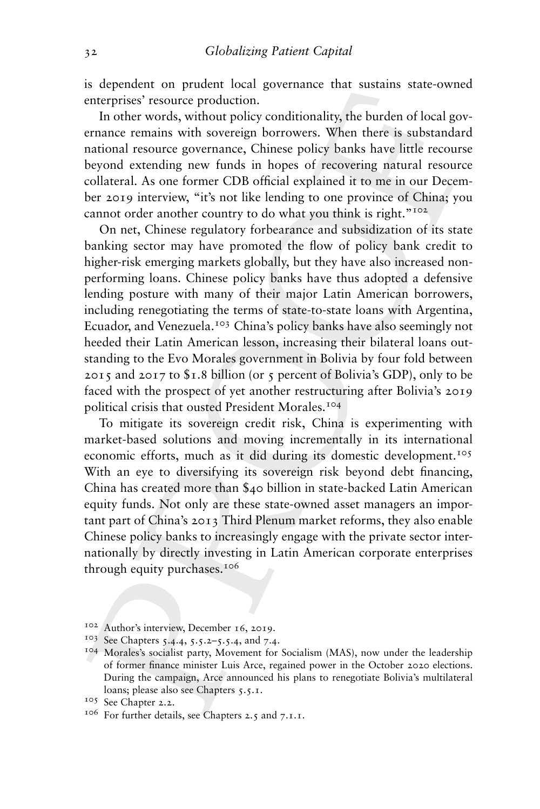is dependent on prudent local governance that sustains state-owned enterprises' resource production.

In other words, without policy conditionality, the burden of local governance remains with sovereign borrowers. When there is substandard national resource governance, Chinese policy banks have little recourse beyond extending new funds in hopes of recovering natural resource collateral. As one former CDB official explained it to me in our December 2019 interview, "it's not like lending to one province of China; you cannot order another country to do what you think is right."<sup>102</sup>

On net, Chinese regulatory forbearance and subsidization of its state banking sector may have promoted the flow of policy bank credit to higher-risk emerging markets globally, but they have also increased nonperforming loans. Chinese policy banks have thus adopted a defensive lending posture with many of their major Latin American borrowers, including renegotiating the terms of state-to-state loans with Argentina, Ecuador, and Venezuela.<sup>103</sup> China's policy banks have also seemingly not heeded their Latin American lesson, increasing their bilateral loans outstanding to the Evo Morales government in Bolivia by four fold between 2015 and 2017 to  $$1.8$  billion (or 5 percent of Bolivia's GDP), only to be faced with the prospect of yet another restructuring after Bolivia's 2019 political crisis that ousted President Morales.<sup>104</sup>

To mitigate its sovereign credit risk, China is experimenting with market-based solutions and moving incrementally in its international economic efforts, much as it did during its domestic development.<sup>105</sup> With an eye to diversifying its sovereign risk beyond debt financing, China has created more than \$40 billion in state-backed Latin American equity funds. Not only are these state-owned asset managers an important part of China's 2013 Third Plenum market reforms, they also enable Chinese policy banks to increasingly engage with the private sector internationally by directly investing in Latin American corporate enterprises through equity purchases.106

<sup>102</sup> Author's interview, December 16, 2019.

<sup>103</sup> See Chapters 5.4.4, 5.5.2–5.5.4, and 7.4.

<sup>104</sup> Morales's socialist party, Movement for Socialism (MAS), now under the leadership of former finance minister Luis Arce, regained power in the October 2020 elections. During the campaign, Arce announced his plans to renegotiate Bolivia's multilateral loans; please also see Chapters 5.5.1.

<sup>105</sup> See Chapter 2.2.

<sup>106</sup> For further details, see Chapters 2.5 and 7.1.1.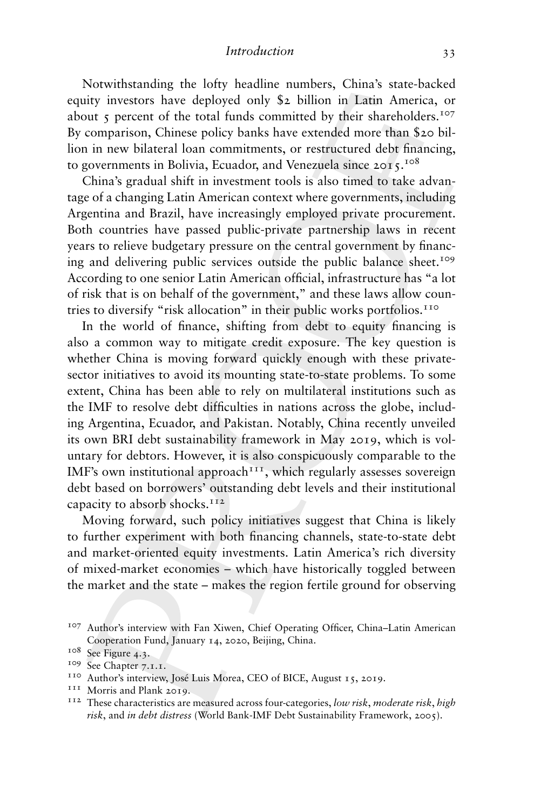*Introduction* 33

Notwithstanding the lofty headline numbers, China's state-backed equity investors have deployed only \$2 billion in Latin America, or about  $\zeta$  percent of the total funds committed by their shareholders.<sup>107</sup> By comparison, Chinese policy banks have extended more than \$20 billion in new bilateral loan commitments, or restructured debt financing, to governments in Bolivia, Ecuador, and Venezuela since  $2015$ .<sup>108</sup>

China's gradual shift in investment tools is also timed to take advantage of a changing Latin American context where governments, including Argentina and Brazil, have increasingly employed private procurement. Both countries have passed public-private partnership laws in recent years to relieve budgetary pressure on the central government by financing and delivering public services outside the public balance sheet.<sup>109</sup> According to one senior Latin American official, infrastructure has "a lot of risk that is on behalf of the government," and these laws allow countries to diversify "risk allocation" in their public works portfolios.110

In the world of finance, shifting from debt to equity financing is also a common way to mitigate credit exposure. The key question is whether China is moving forward quickly enough with these privatesector initiatives to avoid its mounting state-to-state problems. To some extent, China has been able to rely on multilateral institutions such as the IMF to resolve debt difficulties in nations across the globe, including Argentina, Ecuador, and Pakistan. Notably, China recently unveiled its own BRI debt sustainability framework in May 2019, which is voluntary for debtors. However, it is also conspicuously comparable to the IMF's own institutional approach<sup> $11$ </sup>, which regularly assesses sovereign debt based on borrowers' outstanding debt levels and their institutional capacity to absorb shocks. $112$ 

Moving forward, such policy initiatives suggest that China is likely to further experiment with both financing channels, state-to-state debt and market-oriented equity investments. Latin America's rich diversity of mixed-market economies – which have historically toggled between the market and the state – makes the region fertile ground for observing

<sup>107</sup> Author's interview with Fan Xiwen, Chief Operating Officer, China–Latin American Cooperation Fund, January 14, 2020, Beijing, China.

<sup>&</sup>lt;sup>108</sup> See Figure 4.3.

<sup>109</sup> See Chapter 7.1.1.

<sup>110</sup> Author's interview, José Luis Morea, CEO of BICE, August 15, 2019.

<sup>&</sup>lt;sup>111</sup> Morris and Plank 2019.

<sup>112</sup> These characteristics are measured across four-categories, *low risk*, *moderate risk*, *high risk*, and *in debt distress* (World Bank-IMF Debt Sustainability Framework, 2005).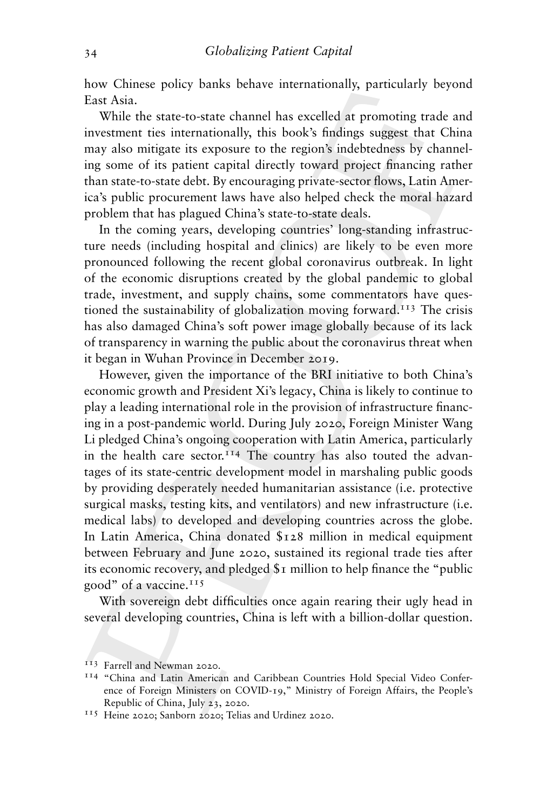how Chinese policy banks behave internationally, particularly beyond East Asia.

While the state-to-state channel has excelled at promoting trade and investment ties internationally, this book's findings suggest that China may also mitigate its exposure to the region's indebtedness by channeling some of its patient capital directly toward project financing rather than state-to-state debt. By encouraging private-sector flows, Latin America's public procurement laws have also helped check the moral hazard problem that has plagued China's state-to-state deals.

In the coming years, developing countries' long-standing infrastructure needs (including hospital and clinics) are likely to be even more pronounced following the recent global coronavirus outbreak. In light of the economic disruptions created by the global pandemic to global trade, investment, and supply chains, some commentators have questioned the sustainability of globalization moving forward.<sup>113</sup> The crisis has also damaged China's soft power image globally because of its lack of transparency in warning the public about the coronavirus threat when it began in Wuhan Province in December 2019.

However, given the importance of the BRI initiative to both China's economic growth and President Xi's legacy, China is likely to continue to play a leading international role in the provision of infrastructure financing in a post-pandemic world. During July 2020, Foreign Minister Wang Li pledged China's ongoing cooperation with Latin America, particularly in the health care sector.<sup>114</sup> The country has also touted the advantages of its state-centric development model in marshaling public goods by providing desperately needed humanitarian assistance (i.e. protective surgical masks, testing kits, and ventilators) and new infrastructure (i.e. medical labs) to developed and developing countries across the globe. In Latin America, China donated \$128 million in medical equipment between February and June 2020, sustained its regional trade ties after its economic recovery, and pledged \$1 million to help finance the "public good" of a vaccine.<sup>115</sup>

With sovereign debt difficulties once again rearing their ugly head in several developing countries, China is left with a billion-dollar question.

<sup>113</sup> Farrell and Newman 2020.

<sup>114</sup> "China and Latin American and Caribbean Countries Hold Special Video Conference of Foreign Ministers on COVID-19," Ministry of Foreign Affairs, the People's Republic of China, July 23, 2020.

<sup>115</sup> Heine 2020; Sanborn 2020; Telias and Urdinez 2020.